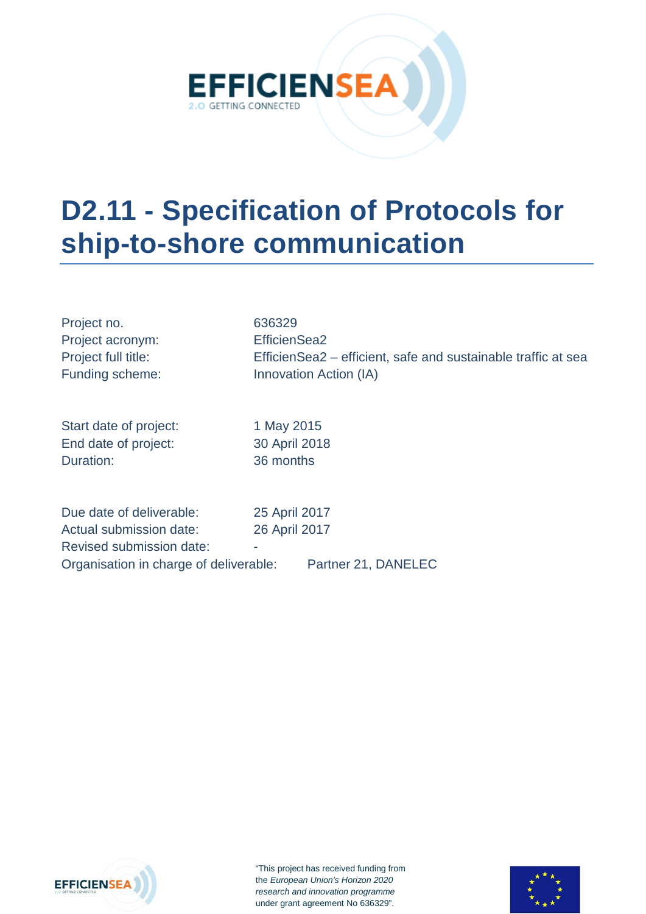

# **D2.11 - Specification of Protocols for ship-to-shore communication**

| Project no.<br>Project acronym:<br>Project full title:<br>Funding scheme: | 636329<br>EfficienSea2<br>EfficienSea2 – efficient, safe and sustainable traffic at sea<br>Innovation Action (IA) |
|---------------------------------------------------------------------------|-------------------------------------------------------------------------------------------------------------------|
| Start date of project:                                                    | 1 May 2015                                                                                                        |
| End date of project:                                                      | 30 April 2018                                                                                                     |
| Duration:                                                                 | 36 months                                                                                                         |
| Due date of deliverable:                                                  | 25 April 2017                                                                                                     |
| Actual submission date:                                                   | 26 April 2017                                                                                                     |

Revised submission date: Organisation in charge of deliverable: Partner 21, DANELEC



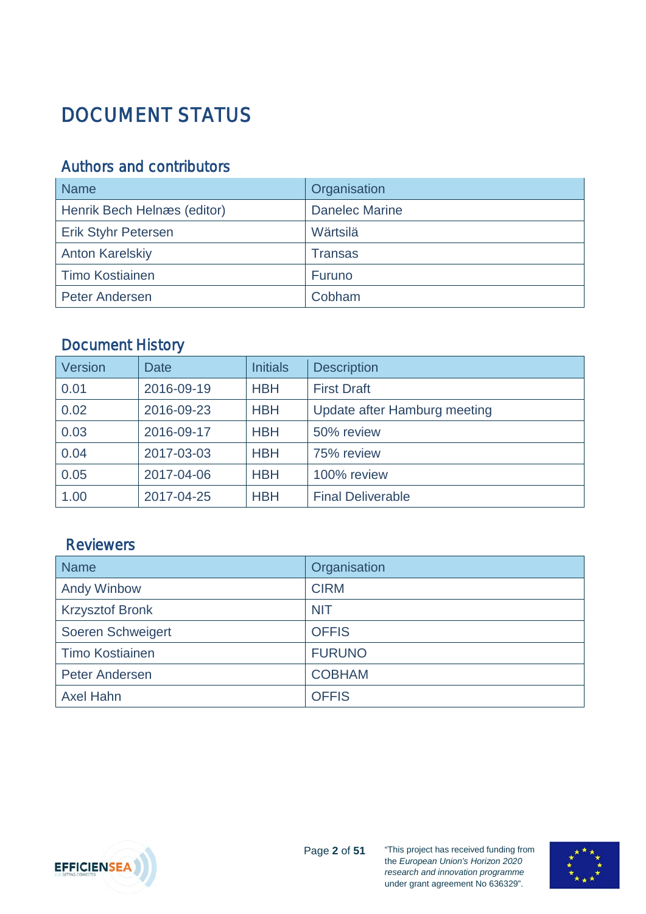# <span id="page-1-0"></span>DOCUMENT STATUS

### <span id="page-1-1"></span>Authors and contributors

| <b>Name</b>                 | Organisation          |
|-----------------------------|-----------------------|
| Henrik Bech Helnæs (editor) | <b>Danelec Marine</b> |
| <b>Erik Styhr Petersen</b>  | Wärtsilä              |
| <b>Anton Karelskiy</b>      | <b>Transas</b>        |
| <b>Timo Kostiainen</b>      | Furuno                |
| <b>Peter Andersen</b>       | Cobham                |

### <span id="page-1-2"></span>Document History

| <b>Version</b> | <b>Date</b> | <b>Initials</b> | <b>Description</b>           |
|----------------|-------------|-----------------|------------------------------|
| 0.01           | 2016-09-19  | <b>HBH</b>      | <b>First Draft</b>           |
| 0.02           | 2016-09-23  | <b>HBH</b>      | Update after Hamburg meeting |
| 0.03           | 2016-09-17  | <b>HBH</b>      | 50% review                   |
| 0.04           | 2017-03-03  | <b>HBH</b>      | 75% review                   |
| 0.05           | 2017-04-06  | <b>HBH</b>      | 100% review                  |
| 1.00           | 2017-04-25  | <b>HBH</b>      | <b>Final Deliverable</b>     |

### <span id="page-1-3"></span>**Reviewers**

| <b>Name</b>            | Organisation  |
|------------------------|---------------|
| <b>Andy Winbow</b>     | <b>CIRM</b>   |
| <b>Krzysztof Bronk</b> | <b>NIT</b>    |
| Soeren Schweigert      | <b>OFFIS</b>  |
| <b>Timo Kostiainen</b> | <b>FURUNO</b> |
| Peter Andersen         | <b>COBHAM</b> |
| <b>Axel Hahn</b>       | <b>OFFIS</b>  |



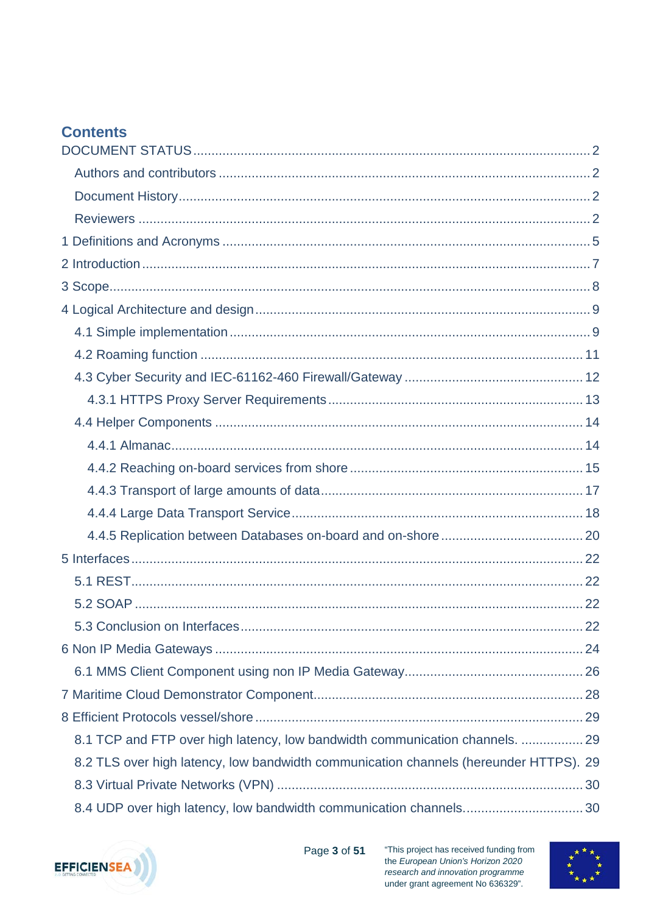### **Contents**

| $\dots$ 22                                                                            |
|---------------------------------------------------------------------------------------|
|                                                                                       |
|                                                                                       |
|                                                                                       |
|                                                                                       |
| 8.1 TCP and FTP over high latency, low bandwidth communication channels.  29          |
| 8.2 TLS over high latency, low bandwidth communication channels (hereunder HTTPS). 29 |
|                                                                                       |
| 8.4 UDP over high latency, low bandwidth communication channels 30                    |



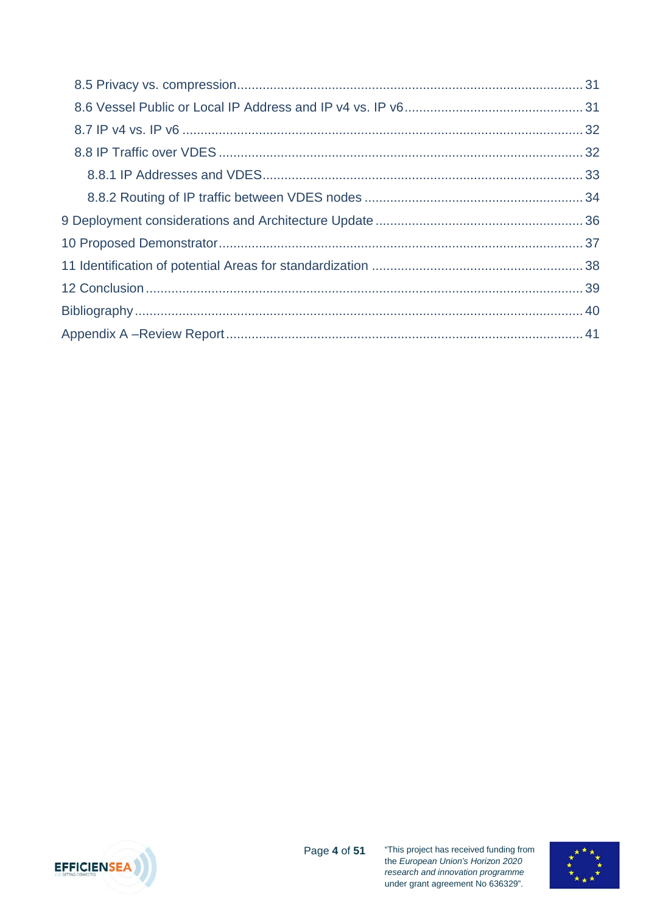

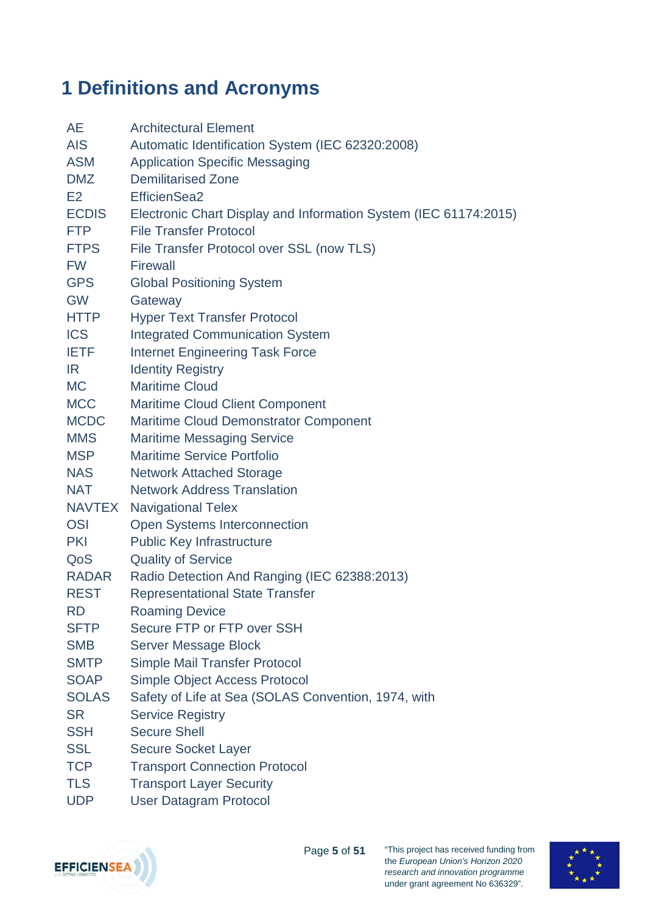## <span id="page-4-0"></span>**1 Definitions and Acronyms**

| AE            | <b>Architectural Element</b>                                     |
|---------------|------------------------------------------------------------------|
| <b>AIS</b>    | Automatic Identification System (IEC 62320:2008)                 |
| <b>ASM</b>    | <b>Application Specific Messaging</b>                            |
| <b>DMZ</b>    | <b>Demilitarised Zone</b>                                        |
| E2            | EfficienSea2                                                     |
| <b>ECDIS</b>  | Electronic Chart Display and Information System (IEC 61174:2015) |
| <b>FTP</b>    | <b>File Transfer Protocol</b>                                    |
| <b>FTPS</b>   | File Transfer Protocol over SSL (now TLS)                        |
| <b>FW</b>     | <b>Firewall</b>                                                  |
| <b>GPS</b>    | <b>Global Positioning System</b>                                 |
| <b>GW</b>     | Gateway                                                          |
| <b>HTTP</b>   | <b>Hyper Text Transfer Protocol</b>                              |
| <b>ICS</b>    | <b>Integrated Communication System</b>                           |
| <b>IETF</b>   | <b>Internet Engineering Task Force</b>                           |
| IR.           | <b>Identity Registry</b>                                         |
| <b>MC</b>     | <b>Maritime Cloud</b>                                            |
| <b>MCC</b>    | <b>Maritime Cloud Client Component</b>                           |
| <b>MCDC</b>   | <b>Maritime Cloud Demonstrator Component</b>                     |
| <b>MMS</b>    | <b>Maritime Messaging Service</b>                                |
| <b>MSP</b>    | <b>Maritime Service Portfolio</b>                                |
| <b>NAS</b>    | <b>Network Attached Storage</b>                                  |
| <b>NAT</b>    | <b>Network Address Translation</b>                               |
| <b>NAVTEX</b> | <b>Navigational Telex</b>                                        |
| <b>OSI</b>    | Open Systems Interconnection                                     |
| <b>PKI</b>    | <b>Public Key Infrastructure</b>                                 |
| QoS           | <b>Quality of Service</b>                                        |
| <b>RADAR</b>  | Radio Detection And Ranging (IEC 62388:2013)                     |
| <b>REST</b>   | <b>Representational State Transfer</b>                           |
| <b>RD</b>     | <b>Roaming Device</b>                                            |
| <b>SFTP</b>   | Secure FTP or FTP over SSH                                       |
| <b>SMB</b>    | Server Message Block                                             |
| <b>SMTP</b>   | <b>Simple Mail Transfer Protocol</b>                             |
| <b>SOAP</b>   | <b>Simple Object Access Protocol</b>                             |
| <b>SOLAS</b>  | Safety of Life at Sea (SOLAS Convention, 1974, with              |
| <b>SR</b>     | <b>Service Registry</b>                                          |
| <b>SSH</b>    | <b>Secure Shell</b>                                              |
| <b>SSL</b>    | <b>Secure Socket Layer</b>                                       |
| <b>TCP</b>    | <b>Transport Connection Protocol</b>                             |
| <b>TLS</b>    | <b>Transport Layer Security</b>                                  |
| <b>UDP</b>    | <b>User Datagram Protocol</b>                                    |



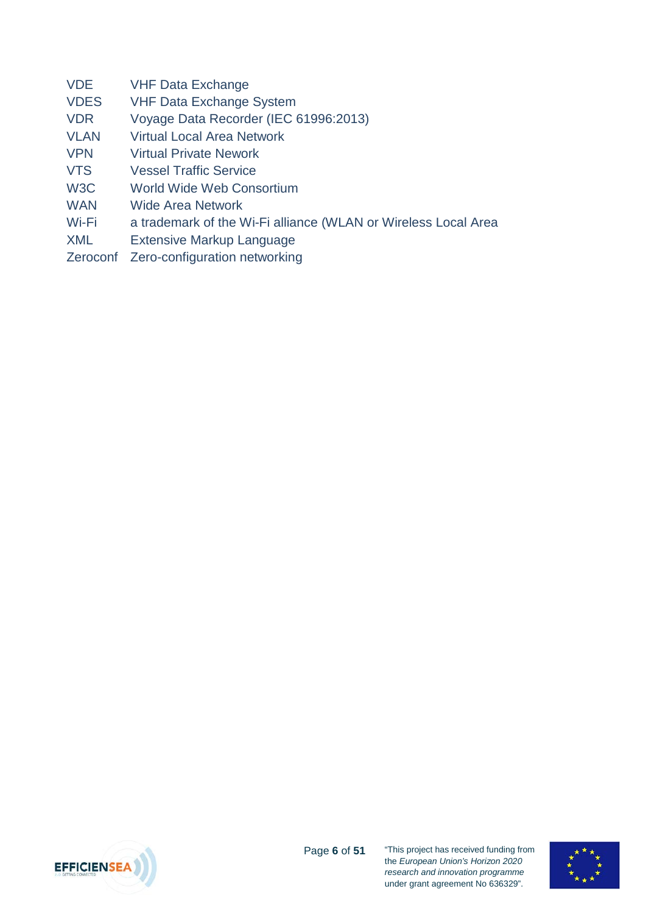| <b>VDE</b> |  | <b>VHF Data Exchange</b> |
|------------|--|--------------------------|
|            |  |                          |

- VDES VHF Data Exchange System
- VDR Voyage Data Recorder (IEC 61996:2013)
- VLAN Virtual Local Area Network
- VPN Virtual Private Nework
- VTS Vessel Traffic Service
- W<sub>3</sub>C World Wide Web Consortium
- WAN Wide Area Network
- Wi-Fi a trademark of the Wi-Fi alliance (WLAN or Wireless Local Area
- XML Extensive Markup Language
- Zeroconf Zero-configuration networking



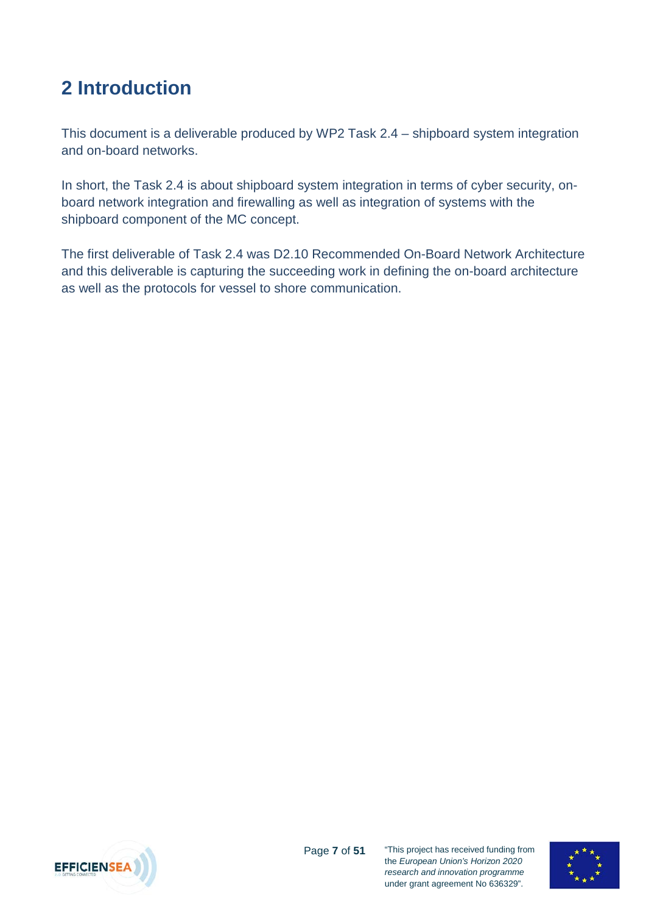## <span id="page-6-0"></span>**2 Introduction**

This document is a deliverable produced by WP2 Task 2.4 – shipboard system integration and on-board networks.

In short, the Task 2.4 is about shipboard system integration in terms of cyber security, onboard network integration and firewalling as well as integration of systems with the shipboard component of the MC concept.

The first deliverable of Task 2.4 was D2.10 Recommended On-Board Network Architecture and this deliverable is capturing the succeeding work in defining the on-board architecture as well as the protocols for vessel to shore communication.



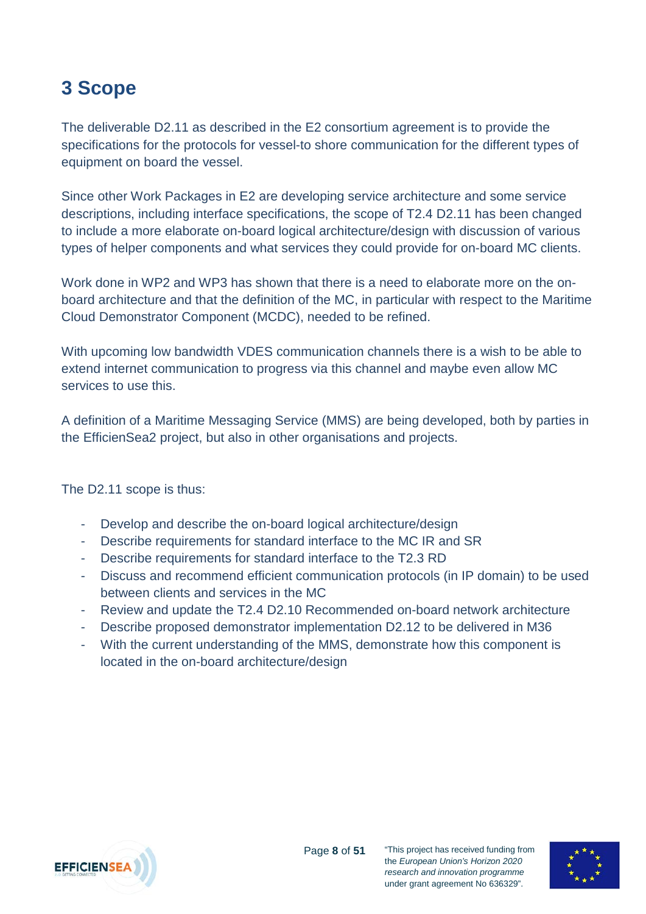## <span id="page-7-0"></span>**3 Scope**

The deliverable D2.11 as described in the E2 consortium agreement is to provide the specifications for the protocols for vessel-to shore communication for the different types of equipment on board the vessel.

Since other Work Packages in E2 are developing service architecture and some service descriptions, including interface specifications, the scope of T2.4 D2.11 has been changed to include a more elaborate on-board logical architecture/design with discussion of various types of helper components and what services they could provide for on-board MC clients.

Work done in WP2 and WP3 has shown that there is a need to elaborate more on the onboard architecture and that the definition of the MC, in particular with respect to the Maritime Cloud Demonstrator Component (MCDC), needed to be refined.

With upcoming low bandwidth VDES communication channels there is a wish to be able to extend internet communication to progress via this channel and maybe even allow MC services to use this.

A definition of a Maritime Messaging Service (MMS) are being developed, both by parties in the EfficienSea2 project, but also in other organisations and projects.

The D2.11 scope is thus:

- Develop and describe the on-board logical architecture/design
- Describe requirements for standard interface to the MC IR and SR
- Describe requirements for standard interface to the T2.3 RD
- Discuss and recommend efficient communication protocols (in IP domain) to be used between clients and services in the MC

Page **8** of **51**

- Review and update the T2.4 D2.10 Recommended on-board network architecture
- Describe proposed demonstrator implementation D2.12 to be delivered in M36
- With the current understanding of the MMS, demonstrate how this component is located in the on-board architecture/design



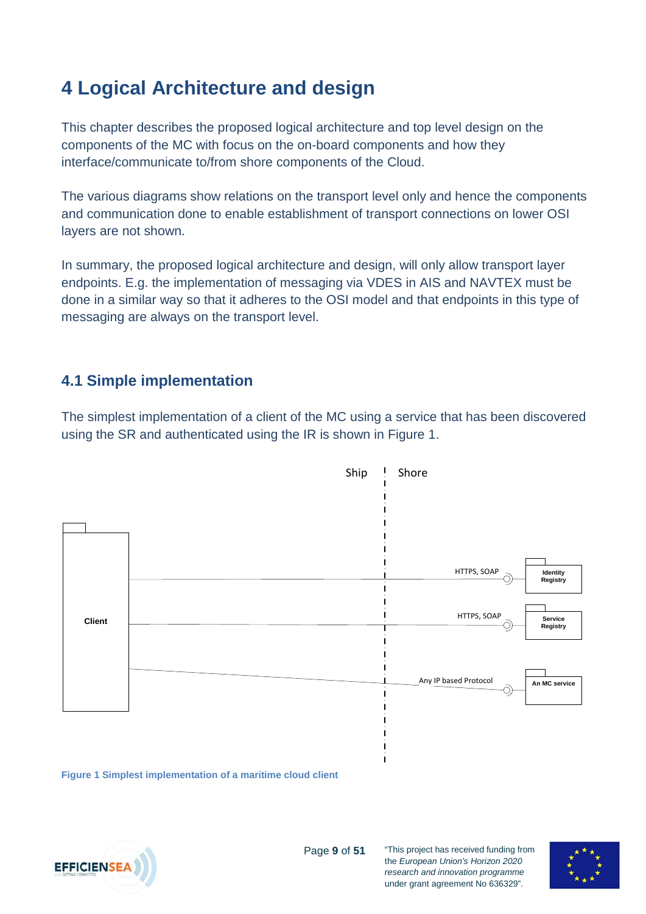## <span id="page-8-0"></span>**4 Logical Architecture and design**

This chapter describes the proposed logical architecture and top level design on the components of the MC with focus on the on-board components and how they interface/communicate to/from shore components of the Cloud.

The various diagrams show relations on the transport level only and hence the components and communication done to enable establishment of transport connections on lower OSI layers are not shown.

In summary, the proposed logical architecture and design, will only allow transport layer endpoints. E.g. the implementation of messaging via VDES in AIS and NAVTEX must be done in a similar way so that it adheres to the OSI model and that endpoints in this type of messaging are always on the transport level.

### <span id="page-8-1"></span>**4.1 Simple implementation**

The simplest implementation of a client of the MC using a service that has been discovered using the SR and authenticated using the IR is shown in [Figure 1.](#page-8-2)



Page **9** of **51**

<span id="page-8-2"></span>**Figure 1 Simplest implementation of a maritime cloud client**



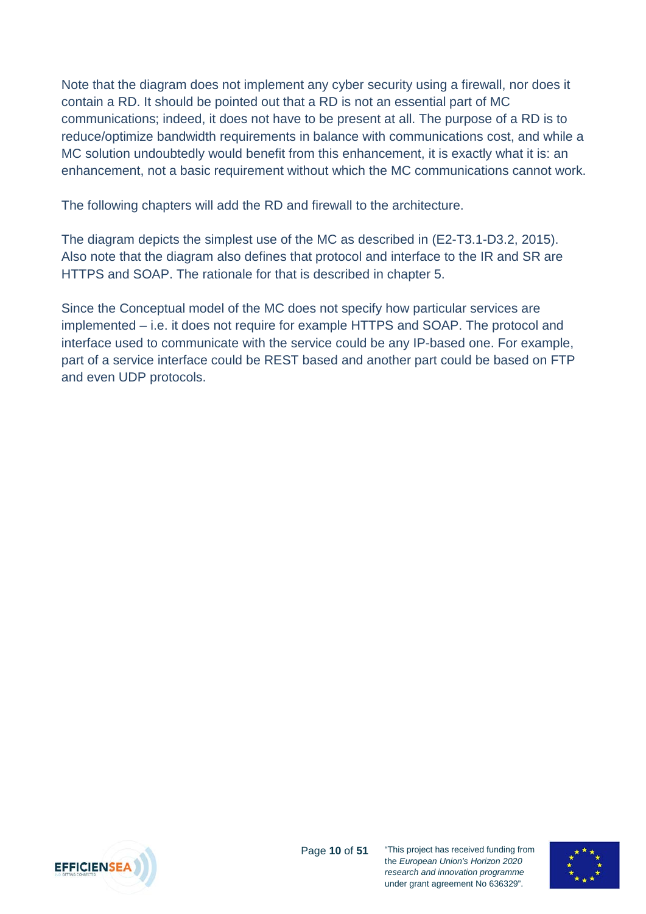Note that the diagram does not implement any cyber security using a firewall, nor does it contain a RD. It should be pointed out that a RD is not an essential part of MC communications; indeed, it does not have to be present at all. The purpose of a RD is to reduce/optimize bandwidth requirements in balance with communications cost, and while a MC solution undoubtedly would benefit from this enhancement, it is exactly what it is: an enhancement, not a basic requirement without which the MC communications cannot work.

The following chapters will add the RD and firewall to the architecture.

The diagram depicts the simplest use of the MC as described in (E2-T3.1-D3.2, 2015). Also note that the diagram also defines that protocol and interface to the IR and SR are HTTPS and SOAP. The rationale for that is described in chapter [5.](#page-21-0)

Since the Conceptual model of the MC does not specify how particular services are implemented – i.e. it does not require for example HTTPS and SOAP. The protocol and interface used to communicate with the service could be any IP-based one. For example, part of a service interface could be REST based and another part could be based on FTP and even UDP protocols.



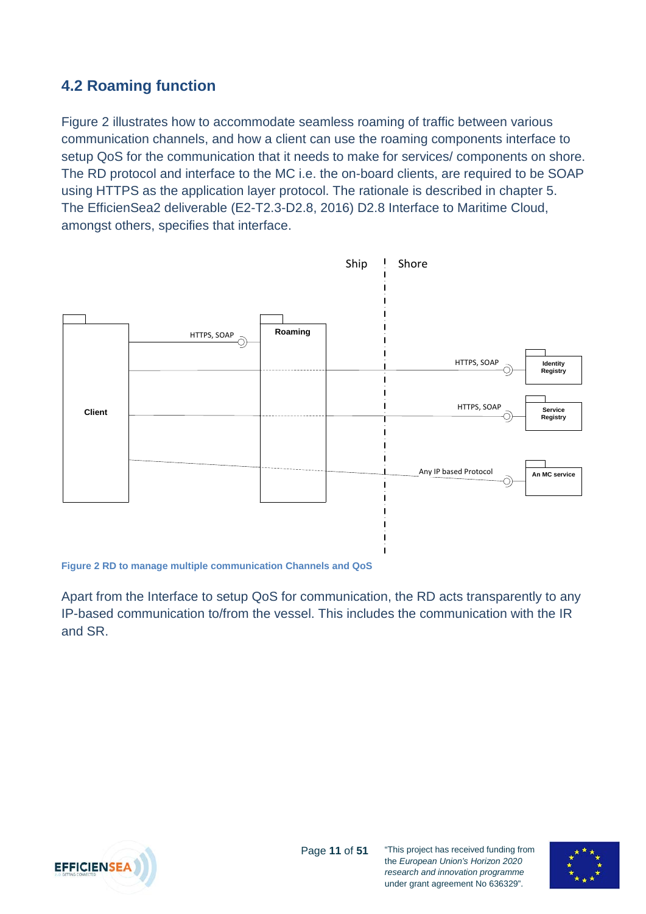### <span id="page-10-0"></span>**4.2 Roaming function**

Figure 2 illustrates how to accommodate seamless roaming of traffic between various communication channels, and how a client can use the roaming components interface to setup QoS for the communication that it needs to make for services/ components on shore. The RD protocol and interface to the MC i.e. the on-board clients, are required to be SOAP using HTTPS as the application layer protocol. The rationale is described in chapter [5.](#page-21-0) The EfficienSea2 deliverable (E2-T2.3-D2.8, 2016) D2.8 Interface to Maritime Cloud, amongst others, specifies that interface.



**Figure 2 RD to manage multiple communication Channels and QoS**

Apart from the Interface to setup QoS for communication, the RD acts transparently to any IP-based communication to/from the vessel. This includes the communication with the IR and SR.



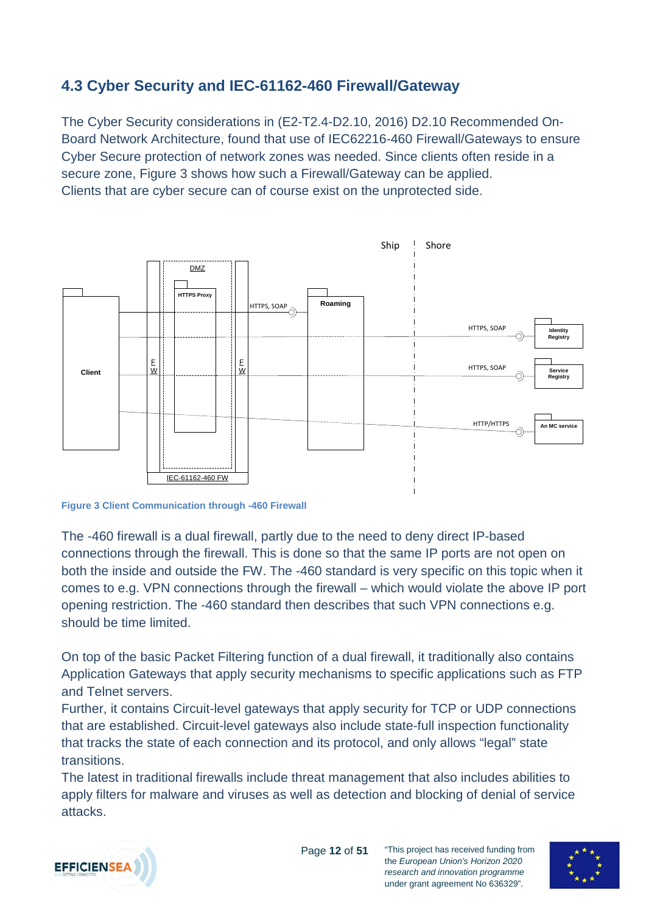### <span id="page-11-0"></span>**4.3 Cyber Security and IEC-61162-460 Firewall/Gateway**

The Cyber Security considerations in (E2-T2.4-D2.10, 2016) D2.10 Recommended On-Board Network Architecture, found that use of IEC62216-460 Firewall/Gateways to ensure Cyber Secure protection of network zones was needed. Since clients often reside in a secure zone, [Figure 3](#page-11-1) shows how such a Firewall/Gateway can be applied. Clients that are cyber secure can of course exist on the unprotected side.



<span id="page-11-1"></span>**Figure 3 Client Communication through -460 Firewall**

The -460 firewall is a dual firewall, partly due to the need to deny direct IP-based connections through the firewall. This is done so that the same IP ports are not open on both the inside and outside the FW. The -460 standard is very specific on this topic when it comes to e.g. VPN connections through the firewall – which would violate the above IP port opening restriction. The -460 standard then describes that such VPN connections e.g. should be time limited.

On top of the basic Packet Filtering function of a dual firewall, it traditionally also contains Application Gateways that apply security mechanisms to specific applications such as FTP and Telnet servers.

Further, it contains Circuit-level gateways that apply security for TCP or UDP connections that are established. Circuit-level gateways also include state-full inspection functionality that tracks the state of each connection and its protocol, and only allows "legal" state transitions.

The latest in traditional firewalls include threat management that also includes abilities to apply filters for malware and viruses as well as detection and blocking of denial of service attacks.



Page **12** of **51**

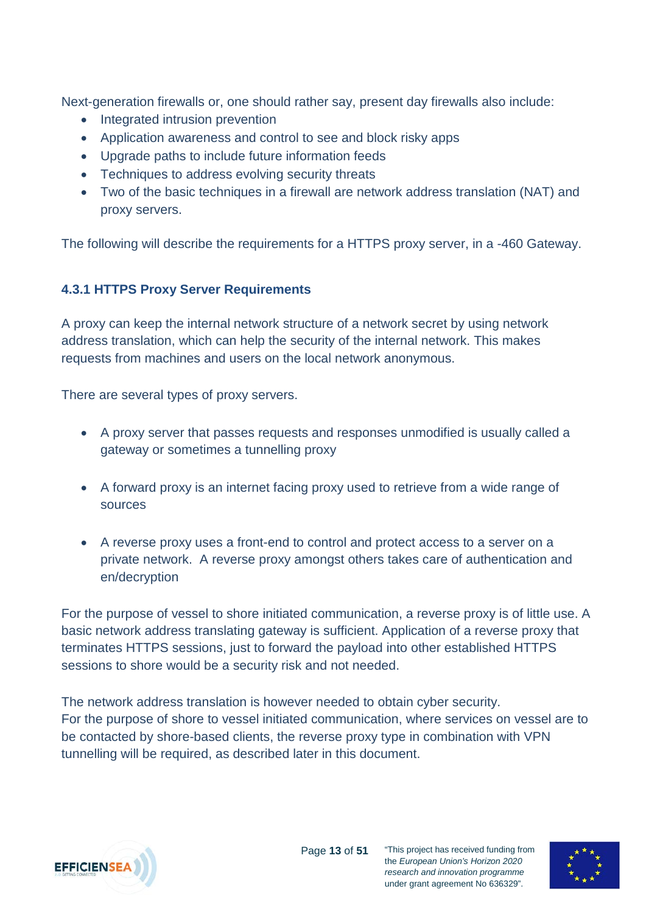Next-generation firewalls or, one should rather say, present day firewalls also include:

- Integrated intrusion prevention
- Application awareness and control to see and block risky apps
- Upgrade paths to include future information feeds
- Techniques to address evolving security threats
- Two of the basic techniques in a firewall are network address translation (NAT) and proxy servers.

The following will describe the requirements for a HTTPS proxy server, in a -460 Gateway.

#### <span id="page-12-0"></span>**4.3.1 HTTPS Proxy Server Requirements**

A proxy can keep the internal network structure of a network secret by using network address translation, which can help the security of the internal network. This makes requests from machines and users on the local network anonymous.

There are several types of proxy servers.

- A proxy server that passes requests and responses unmodified is usually called a gateway or sometimes a tunnelling proxy
- A forward proxy is an internet facing proxy used to retrieve from a wide range of sources
- A reverse proxy uses a front-end to control and protect access to a server on a private network. A reverse proxy amongst others takes care of authentication and en/decryption

For the purpose of vessel to shore initiated communication, a reverse proxy is of little use. A basic network address translating gateway is sufficient. Application of a reverse proxy that terminates HTTPS sessions, just to forward the payload into other established HTTPS sessions to shore would be a security risk and not needed.

The network address translation is however needed to obtain cyber security. For the purpose of shore to vessel initiated communication, where services on vessel are to be contacted by shore-based clients, the reverse proxy type in combination with VPN tunnelling will be required, as described later in this document.



under grant agreement No 636329".

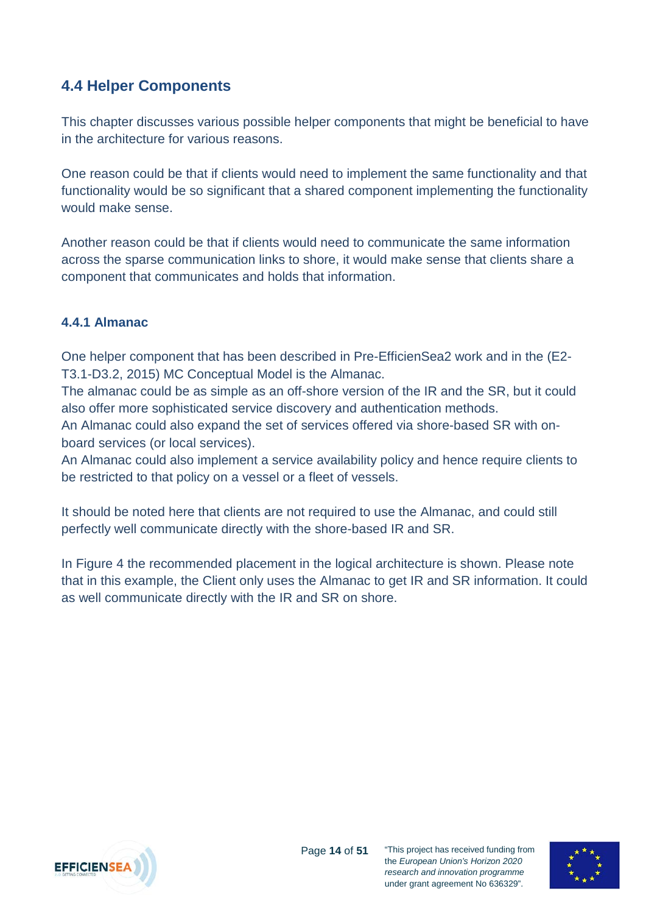### <span id="page-13-0"></span>**4.4 Helper Components**

This chapter discusses various possible helper components that might be beneficial to have in the architecture for various reasons.

One reason could be that if clients would need to implement the same functionality and that functionality would be so significant that a shared component implementing the functionality would make sense.

Another reason could be that if clients would need to communicate the same information across the sparse communication links to shore, it would make sense that clients share a component that communicates and holds that information.

#### <span id="page-13-1"></span>**4.4.1 Almanac**

One helper component that has been described in Pre-EfficienSea2 work and in the (E2- T3.1-D3.2, 2015) MC Conceptual Model is the Almanac.

The almanac could be as simple as an off-shore version of the IR and the SR, but it could also offer more sophisticated service discovery and authentication methods.

An Almanac could also expand the set of services offered via shore-based SR with onboard services (or local services).

An Almanac could also implement a service availability policy and hence require clients to be restricted to that policy on a vessel or a fleet of vessels.

It should be noted here that clients are not required to use the Almanac, and could still perfectly well communicate directly with the shore-based IR and SR.

In [Figure 4](#page-14-1) the recommended placement in the logical architecture is shown. Please note that in this example, the Client only uses the Almanac to get IR and SR information. It could as well communicate directly with the IR and SR on shore.



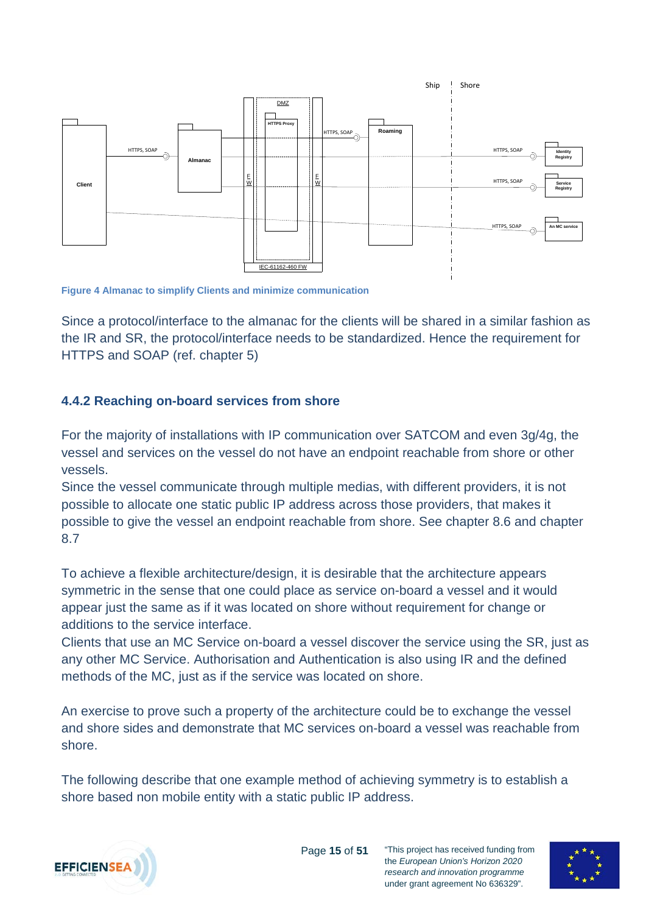

<span id="page-14-1"></span>**Figure 4 Almanac to simplify Clients and minimize communication**

Since a protocol/interface to the almanac for the clients will be shared in a similar fashion as the IR and SR, the protocol/interface needs to be standardized. Hence the requirement for HTTPS and SOAP (ref. chapter [5\)](#page-21-0)

#### <span id="page-14-0"></span>**4.4.2 Reaching on-board services from shore**

For the majority of installations with IP communication over SATCOM and even 3g/4g, the vessel and services on the vessel do not have an endpoint reachable from shore or other vessels.

Since the vessel communicate through multiple medias, with different providers, it is not possible to allocate one static public IP address across those providers, that makes it possible to give the vessel an endpoint reachable from shore. See chapter [8.6](#page-30-1) and chapter [8.7](#page-31-0)

To achieve a flexible architecture/design, it is desirable that the architecture appears symmetric in the sense that one could place as service on-board a vessel and it would appear just the same as if it was located on shore without requirement for change or additions to the service interface.

Clients that use an MC Service on-board a vessel discover the service using the SR, just as any other MC Service. Authorisation and Authentication is also using IR and the defined methods of the MC, just as if the service was located on shore.

An exercise to prove such a property of the architecture could be to exchange the vessel and shore sides and demonstrate that MC services on-board a vessel was reachable from shore.

The following describe that one example method of achieving symmetry is to establish a shore based non mobile entity with a static public IP address.



Page **15** of **51**

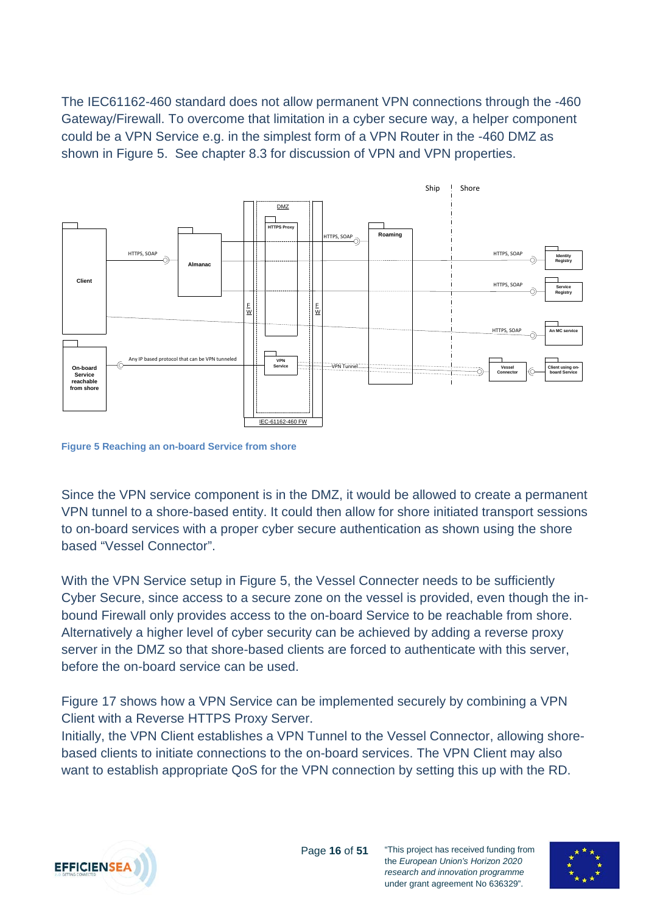The IEC61162-460 standard does not allow permanent VPN connections through the -460 Gateway/Firewall. To overcome that limitation in a cyber secure way, a helper component could be a VPN Service e.g. in the simplest form of a VPN Router in the -460 DMZ as shown in [Figure 5.](#page-15-0) See chapter [8.3](#page-29-0) for discussion of VPN and VPN properties.



<span id="page-15-0"></span>**Figure 5 Reaching an on-board Service from shore**

Since the VPN service component is in the DMZ, it would be allowed to create a permanent VPN tunnel to a shore-based entity. It could then allow for shore initiated transport sessions to on-board services with a proper cyber secure authentication as shown using the shore based "Vessel Connector".

With the VPN Service setup in [Figure 5,](#page-15-0) the Vessel Connecter needs to be sufficiently Cyber Secure, since access to a secure zone on the vessel is provided, even though the inbound Firewall only provides access to the on-board Service to be reachable from shore. Alternatively a higher level of cyber security can be achieved by adding a reverse proxy server in the DMZ so that shore-based clients are forced to authenticate with this server, before the on-board service can be used.

[Figure 17](#page-35-1) shows how a VPN Service can be implemented securely by combining a VPN Client with a Reverse HTTPS Proxy Server.

Initially, the VPN Client establishes a VPN Tunnel to the Vessel Connector, allowing shorebased clients to initiate connections to the on-board services. The VPN Client may also want to establish appropriate QoS for the VPN connection by setting this up with the RD.



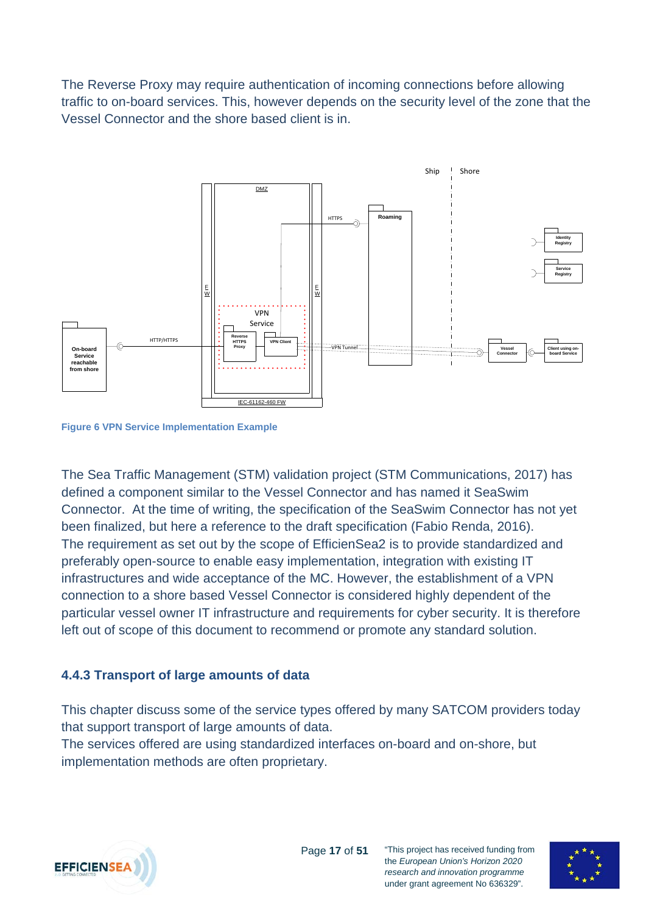The Reverse Proxy may require authentication of incoming connections before allowing traffic to on-board services. This, however depends on the security level of the zone that the Vessel Connector and the shore based client is in.



**Figure 6 VPN Service Implementation Example**

The Sea Traffic Management (STM) validation project (STM Communications, 2017) has defined a component similar to the Vessel Connector and has named it SeaSwim Connector. At the time of writing, the specification of the SeaSwim Connector has not yet been finalized, but here a reference to the draft specification (Fabio Renda, 2016). The requirement as set out by the scope of EfficienSea2 is to provide standardized and preferably open-source to enable easy implementation, integration with existing IT infrastructures and wide acceptance of the MC. However, the establishment of a VPN connection to a shore based Vessel Connector is considered highly dependent of the particular vessel owner IT infrastructure and requirements for cyber security. It is therefore left out of scope of this document to recommend or promote any standard solution.

#### <span id="page-16-0"></span>**4.4.3 Transport of large amounts of data**

This chapter discuss some of the service types offered by many SATCOM providers today that support transport of large amounts of data.

The services offered are using standardized interfaces on-board and on-shore, but implementation methods are often proprietary.



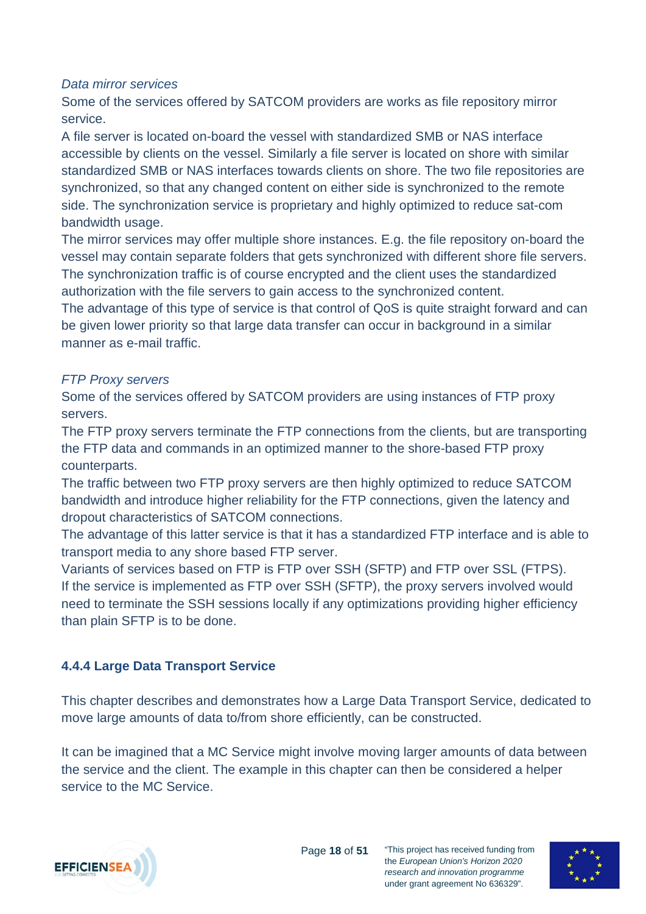#### *Data mirror services*

Some of the services offered by SATCOM providers are works as file repository mirror service.

A file server is located on-board the vessel with standardized SMB or NAS interface accessible by clients on the vessel. Similarly a file server is located on shore with similar standardized SMB or NAS interfaces towards clients on shore. The two file repositories are synchronized, so that any changed content on either side is synchronized to the remote side. The synchronization service is proprietary and highly optimized to reduce sat-com bandwidth usage.

The mirror services may offer multiple shore instances. E.g. the file repository on-board the vessel may contain separate folders that gets synchronized with different shore file servers. The synchronization traffic is of course encrypted and the client uses the standardized authorization with the file servers to gain access to the synchronized content.

The advantage of this type of service is that control of QoS is quite straight forward and can be given lower priority so that large data transfer can occur in background in a similar manner as e-mail traffic.

#### *FTP Proxy servers*

Some of the services offered by SATCOM providers are using instances of FTP proxy servers.

The FTP proxy servers terminate the FTP connections from the clients, but are transporting the FTP data and commands in an optimized manner to the shore-based FTP proxy counterparts.

The traffic between two FTP proxy servers are then highly optimized to reduce SATCOM bandwidth and introduce higher reliability for the FTP connections, given the latency and dropout characteristics of SATCOM connections.

The advantage of this latter service is that it has a standardized FTP interface and is able to transport media to any shore based FTP server.

Variants of services based on FTP is FTP over SSH (SFTP) and FTP over SSL (FTPS). If the service is implemented as FTP over SSH (SFTP), the proxy servers involved would need to terminate the SSH sessions locally if any optimizations providing higher efficiency than plain SFTP is to be done.

#### <span id="page-17-0"></span>**4.4.4 Large Data Transport Service**

This chapter describes and demonstrates how a Large Data Transport Service, dedicated to move large amounts of data to/from shore efficiently, can be constructed.

It can be imagined that a MC Service might involve moving larger amounts of data between the service and the client. The example in this chapter can then be considered a helper service to the MC Service.



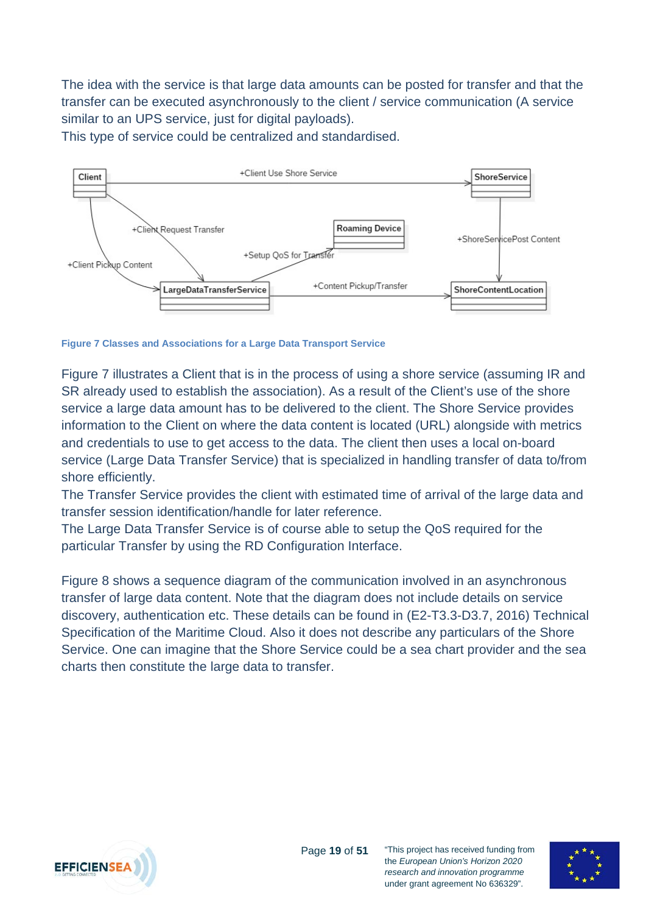The idea with the service is that large data amounts can be posted for transfer and that the transfer can be executed asynchronously to the client / service communication (A service similar to an UPS service, just for digital payloads).

This type of service could be centralized and standardised.



<span id="page-18-0"></span>**Figure 7 Classes and Associations for a Large Data Transport Service**

[Figure 7](#page-18-0) illustrates a Client that is in the process of using a shore service (assuming IR and SR already used to establish the association). As a result of the Client's use of the shore service a large data amount has to be delivered to the client. The Shore Service provides information to the Client on where the data content is located (URL) alongside with metrics and credentials to use to get access to the data. The client then uses a local on-board service (Large Data Transfer Service) that is specialized in handling transfer of data to/from shore efficiently.

The Transfer Service provides the client with estimated time of arrival of the large data and transfer session identification/handle for later reference.

The Large Data Transfer Service is of course able to setup the QoS required for the particular Transfer by using the RD Configuration Interface.

[Figure 8](#page-19-1) shows a sequence diagram of the communication involved in an asynchronous transfer of large data content. Note that the diagram does not include details on service discovery, authentication etc. These details can be found in (E2-T3.3-D3.7, 2016) Technical Specification of the Maritime Cloud. Also it does not describe any particulars of the Shore Service. One can imagine that the Shore Service could be a sea chart provider and the sea charts then constitute the large data to transfer.



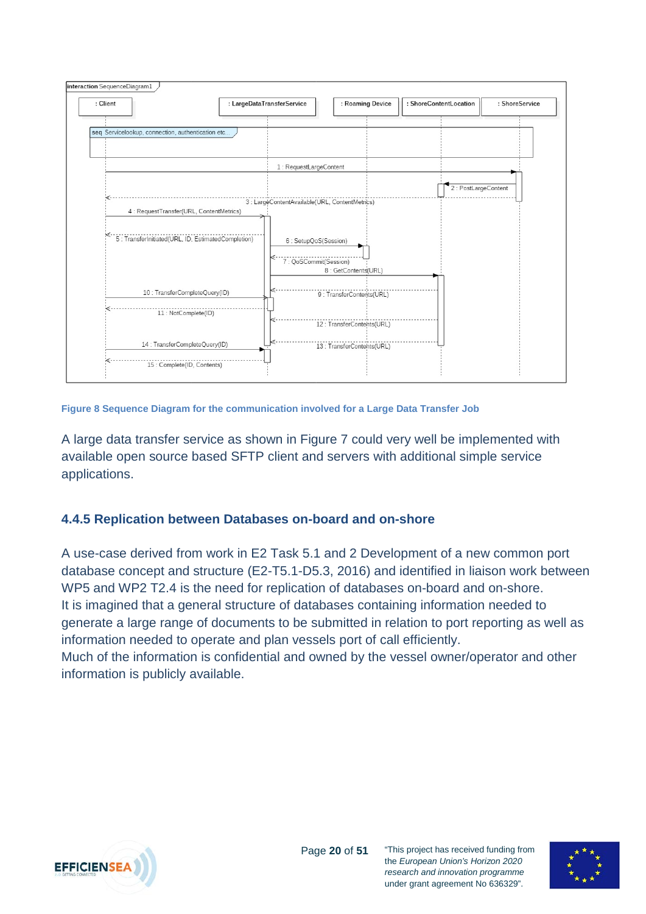

<span id="page-19-1"></span>**Figure 8 Sequence Diagram for the communication involved for a Large Data Transfer Job**

A large data transfer service as shown in [Figure 7](#page-18-0) could very well be implemented with available open source based SFTP client and servers with additional simple service applications.

#### <span id="page-19-0"></span>**4.4.5 Replication between Databases on-board and on-shore**

A use-case derived from work in E2 Task 5.1 and 2 Development of a new common port database concept and structure (E2-T5.1-D5.3, 2016) and identified in liaison work between WP5 and WP2 T2.4 is the need for replication of databases on-board and on-shore. It is imagined that a general structure of databases containing information needed to generate a large range of documents to be submitted in relation to port reporting as well as information needed to operate and plan vessels port of call efficiently.

Much of the information is confidential and owned by the vessel owner/operator and other information is publicly available.



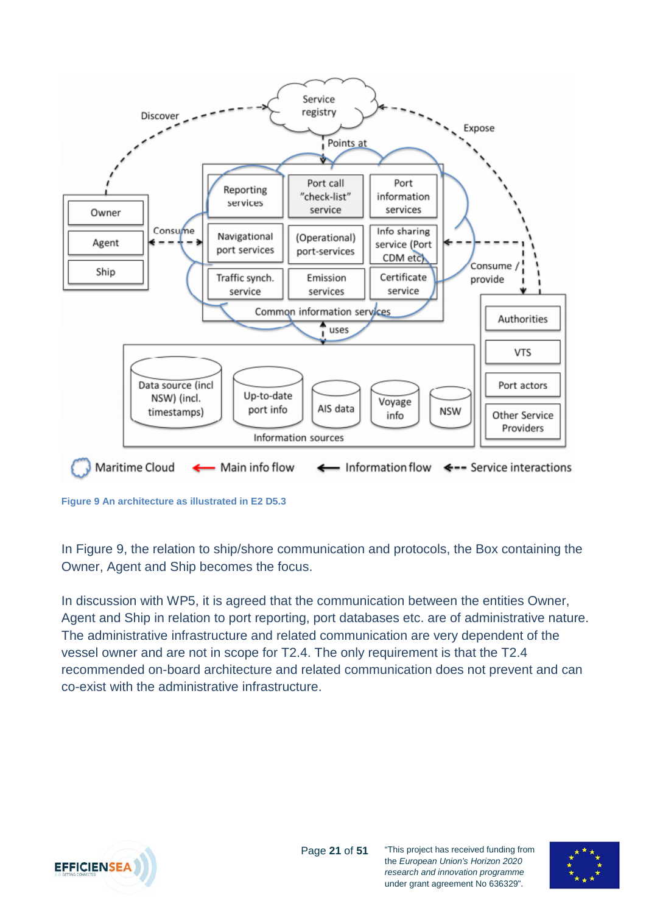

<span id="page-20-0"></span>**Figure 9 An architecture as illustrated in E2 D5.3**

In [Figure 9,](#page-20-0) the relation to ship/shore communication and protocols, the Box containing the Owner, Agent and Ship becomes the focus.

In discussion with WP5, it is agreed that the communication between the entities Owner, Agent and Ship in relation to port reporting, port databases etc. are of administrative nature. The administrative infrastructure and related communication are very dependent of the vessel owner and are not in scope for T2.4. The only requirement is that the T2.4 recommended on-board architecture and related communication does not prevent and can co-exist with the administrative infrastructure.



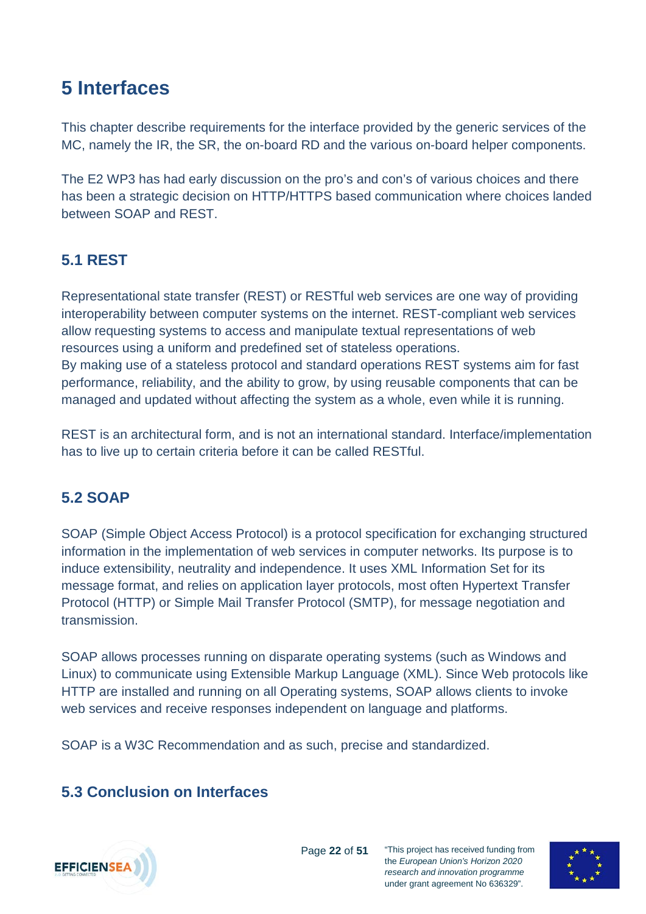## <span id="page-21-0"></span>**5 Interfaces**

This chapter describe requirements for the interface provided by the generic services of the MC, namely the IR, the SR, the on-board RD and the various on-board helper components.

The E2 WP3 has had early discussion on the pro's and con's of various choices and there has been a strategic decision on HTTP/HTTPS based communication where choices landed between SOAP and REST.

### <span id="page-21-1"></span>**5.1 REST**

Representational state transfer (REST) or RESTful web services are one way of providing interoperability between computer systems on the internet. REST-compliant web services allow requesting systems to access and manipulate textual representations of web resources using a uniform and predefined set of stateless operations. By making use of a stateless protocol and standard operations REST systems aim for fast performance, reliability, and the ability to grow, by using reusable components that can be managed and updated without affecting the system as a whole, even while it is running.

REST is an architectural form, and is not an international standard. Interface/implementation has to live up to certain criteria before it can be called RESTful.

### <span id="page-21-2"></span>**5.2 SOAP**

SOAP (Simple Object Access Protocol) is a protocol specification for exchanging structured information in the implementation of web services in computer networks. Its purpose is to induce extensibility, neutrality and independence. It uses XML Information Set for its message format, and relies on application layer protocols, most often Hypertext Transfer Protocol (HTTP) or Simple Mail Transfer Protocol (SMTP), for message negotiation and transmission.

SOAP allows processes running on disparate operating systems (such as Windows and Linux) to communicate using Extensible Markup Language (XML). Since Web protocols like HTTP are installed and running on all Operating systems, SOAP allows clients to invoke web services and receive responses independent on language and platforms.

SOAP is a W3C Recommendation and as such, precise and standardized.

### <span id="page-21-3"></span>**5.3 Conclusion on Interfaces**



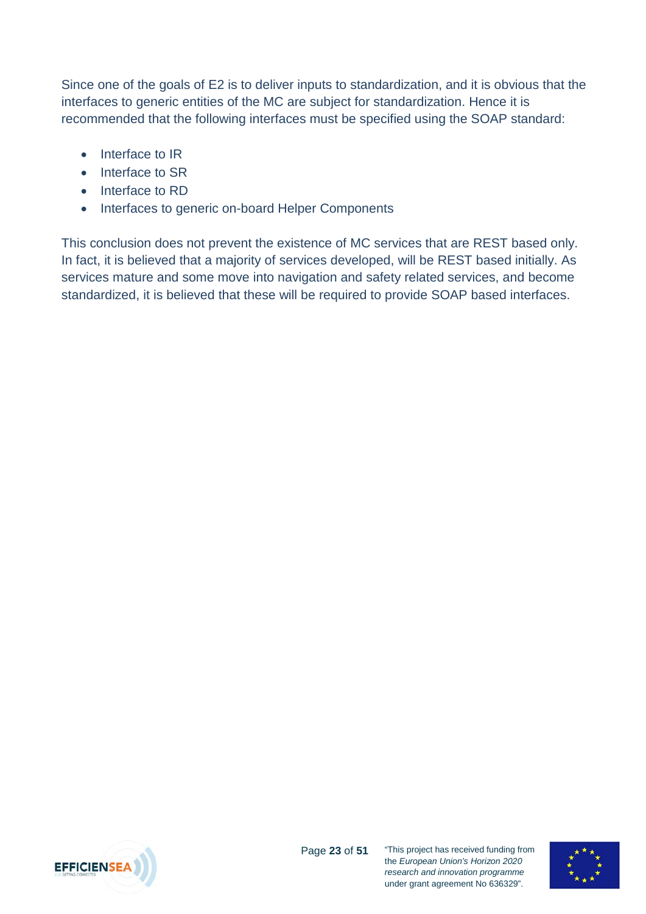Since one of the goals of E2 is to deliver inputs to standardization, and it is obvious that the interfaces to generic entities of the MC are subject for standardization. Hence it is recommended that the following interfaces must be specified using the SOAP standard:

- Interface to IR
- Interface to SR
- Interface to RD
- Interfaces to generic on-board Helper Components

This conclusion does not prevent the existence of MC services that are REST based only. In fact, it is believed that a majority of services developed, will be REST based initially. As services mature and some move into navigation and safety related services, and become standardized, it is believed that these will be required to provide SOAP based interfaces.



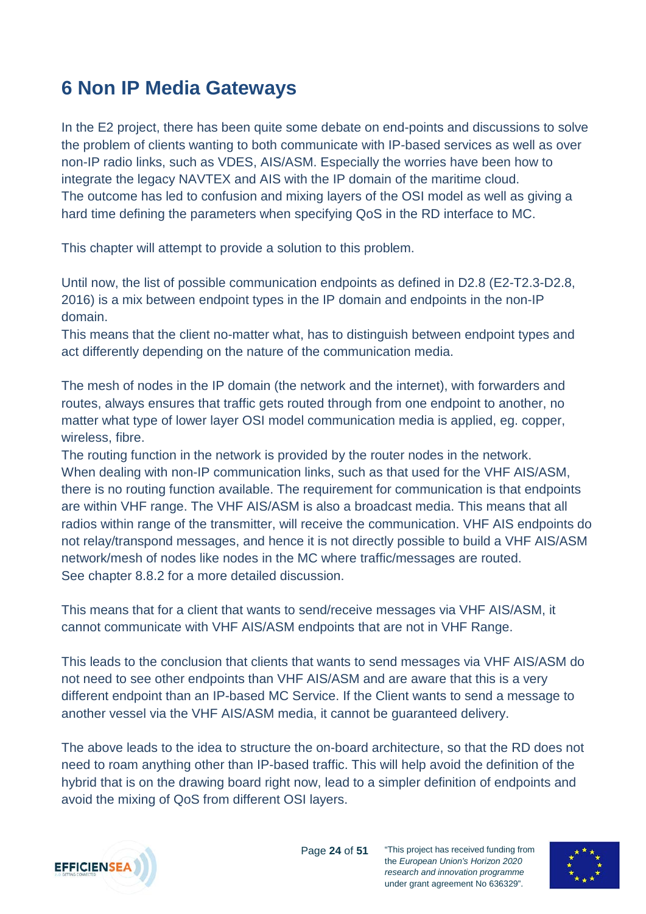## <span id="page-23-0"></span>**6 Non IP Media Gateways**

In the E2 project, there has been quite some debate on end-points and discussions to solve the problem of clients wanting to both communicate with IP-based services as well as over non-IP radio links, such as VDES, AIS/ASM. Especially the worries have been how to integrate the legacy NAVTEX and AIS with the IP domain of the maritime cloud. The outcome has led to confusion and mixing layers of the OSI model as well as giving a hard time defining the parameters when specifying QoS in the RD interface to MC.

This chapter will attempt to provide a solution to this problem.

Until now, the list of possible communication endpoints as defined in D2.8 (E2-T2.3-D2.8, 2016) is a mix between endpoint types in the IP domain and endpoints in the non-IP domain.

This means that the client no-matter what, has to distinguish between endpoint types and act differently depending on the nature of the communication media.

The mesh of nodes in the IP domain (the network and the internet), with forwarders and routes, always ensures that traffic gets routed through from one endpoint to another, no matter what type of lower layer OSI model communication media is applied, eg. copper, wireless, fibre.

The routing function in the network is provided by the router nodes in the network. When dealing with non-IP communication links, such as that used for the VHF AIS/ASM, there is no routing function available. The requirement for communication is that endpoints are within VHF range. The VHF AIS/ASM is also a broadcast media. This means that all radios within range of the transmitter, will receive the communication. VHF AIS endpoints do not relay/transpond messages, and hence it is not directly possible to build a VHF AIS/ASM network/mesh of nodes like nodes in the MC where traffic/messages are routed. See chapter [8.8.2](#page-33-0) for a more detailed discussion.

This means that for a client that wants to send/receive messages via VHF AIS/ASM, it cannot communicate with VHF AIS/ASM endpoints that are not in VHF Range.

This leads to the conclusion that clients that wants to send messages via VHF AIS/ASM do not need to see other endpoints than VHF AIS/ASM and are aware that this is a very different endpoint than an IP-based MC Service. If the Client wants to send a message to another vessel via the VHF AIS/ASM media, it cannot be guaranteed delivery.

The above leads to the idea to structure the on-board architecture, so that the RD does not need to roam anything other than IP-based traffic. This will help avoid the definition of the hybrid that is on the drawing board right now, lead to a simpler definition of endpoints and avoid the mixing of QoS from different OSI layers.



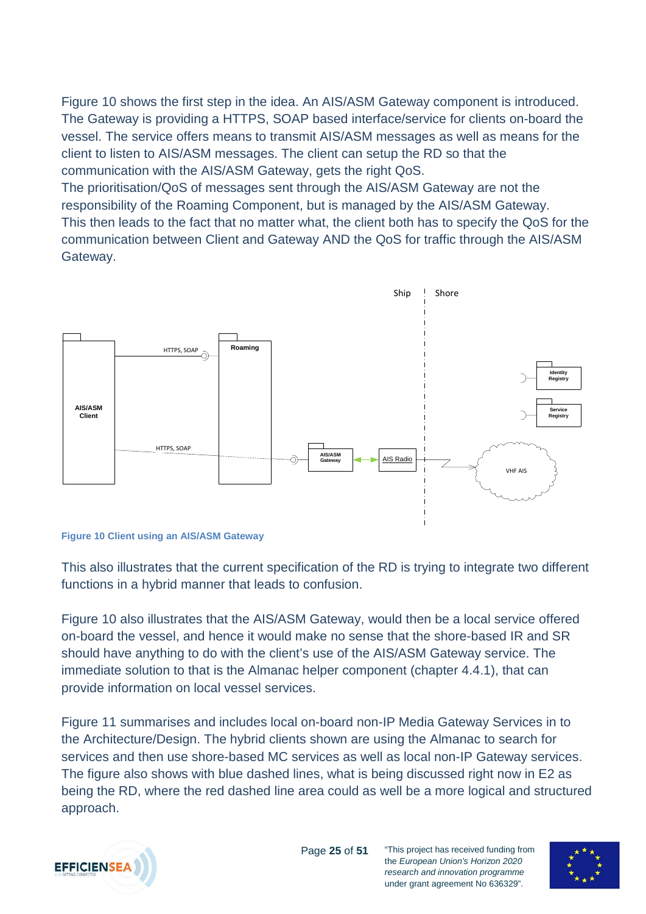[Figure 10](#page-24-0) shows the first step in the idea. An AIS/ASM Gateway component is introduced. The Gateway is providing a HTTPS, SOAP based interface/service for clients on-board the vessel. The service offers means to transmit AIS/ASM messages as well as means for the client to listen to AIS/ASM messages. The client can setup the RD so that the communication with the AIS/ASM Gateway, gets the right QoS.

The prioritisation/QoS of messages sent through the AIS/ASM Gateway are not the responsibility of the Roaming Component, but is managed by the AIS/ASM Gateway. This then leads to the fact that no matter what, the client both has to specify the QoS for the communication between Client and Gateway AND the QoS for traffic through the AIS/ASM Gateway.



#### <span id="page-24-0"></span>**Figure 10 Client using an AIS/ASM Gateway**

This also illustrates that the current specification of the RD is trying to integrate two different functions in a hybrid manner that leads to confusion.

[Figure 10](#page-24-0) also illustrates that the AIS/ASM Gateway, would then be a local service offered on-board the vessel, and hence it would make no sense that the shore-based IR and SR should have anything to do with the client's use of the AIS/ASM Gateway service. The immediate solution to that is the Almanac helper component (chapter [4.4.1\)](#page-13-1), that can provide information on local vessel services.

[Figure 11](#page-25-1) summarises and includes local on-board non-IP Media Gateway Services in to the Architecture/Design. The hybrid clients shown are using the Almanac to search for services and then use shore-based MC services as well as local non-IP Gateway services. The figure also shows with blue dashed lines, what is being discussed right now in E2 as being the RD, where the red dashed line area could as well be a more logical and structured approach.



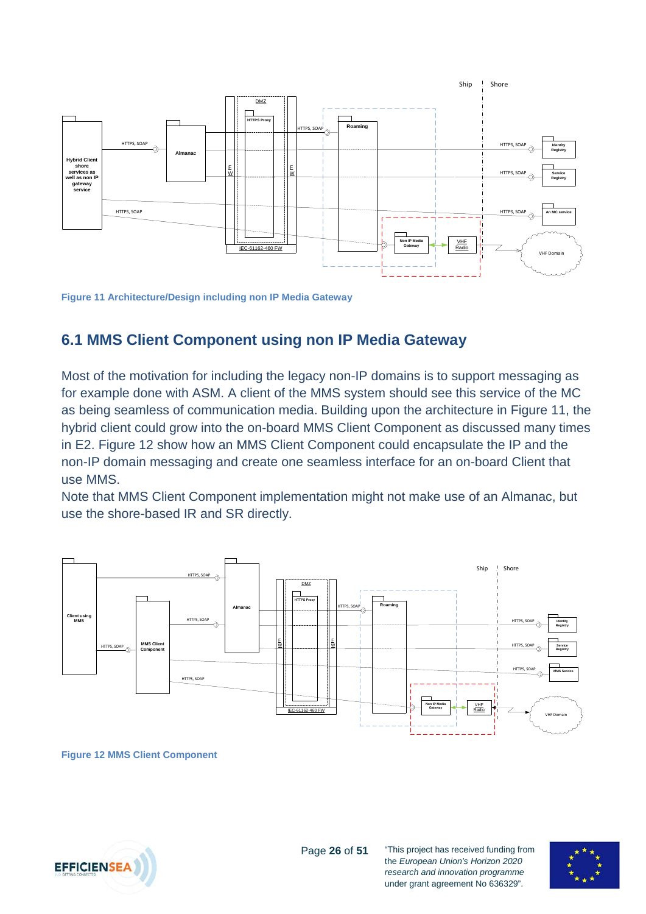

<span id="page-25-1"></span>**Figure 11 Architecture/Design including non IP Media Gateway**

#### <span id="page-25-0"></span>**6.1 MMS Client Component using non IP Media Gateway**

Most of the motivation for including the legacy non-IP domains is to support messaging as for example done with ASM. A client of the MMS system should see this service of the MC as being seamless of communication media. Building upon the architecture in [Figure 11,](#page-25-1) the hybrid client could grow into the on-board MMS Client Component as discussed many times in E2. [Figure 12](#page-25-2) show how an MMS Client Component could encapsulate the IP and the non-IP domain messaging and create one seamless interface for an on-board Client that use MMS.

Note that MMS Client Component implementation might not make use of an Almanac, but use the shore-based IR and SR directly.



<span id="page-25-2"></span>**Figure 12 MMS Client Component**



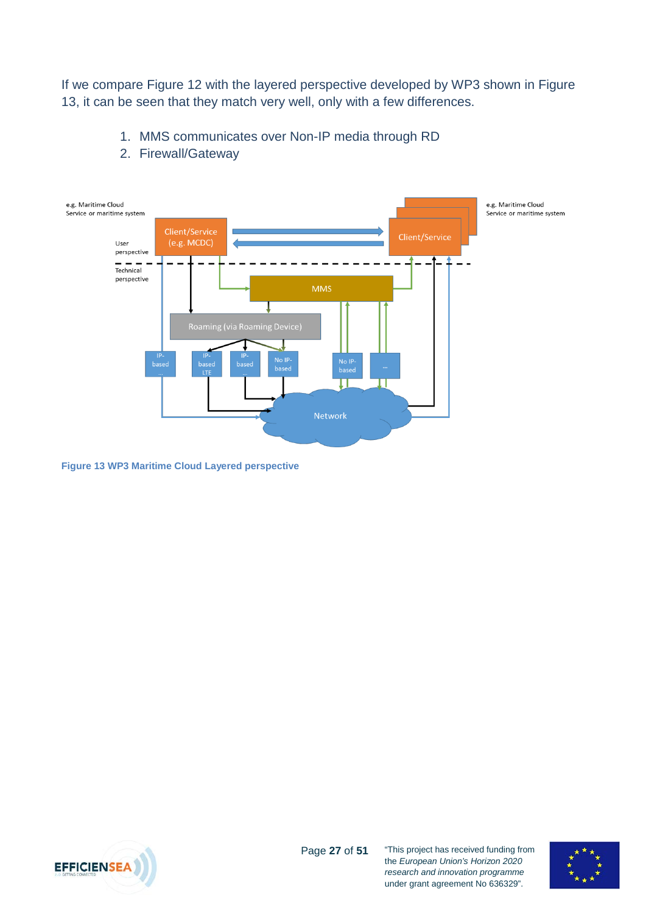If we compare [Figure 12](#page-25-2) with the layered perspective developed by WP3 shown in [Figure](#page-26-0)  [13,](#page-26-0) it can be seen that they match very well, only with a few differences.

1. MMS communicates over Non-IP media through RD



2. Firewall/Gateway

<span id="page-26-0"></span>**Figure 13 WP3 Maritime Cloud Layered perspective**



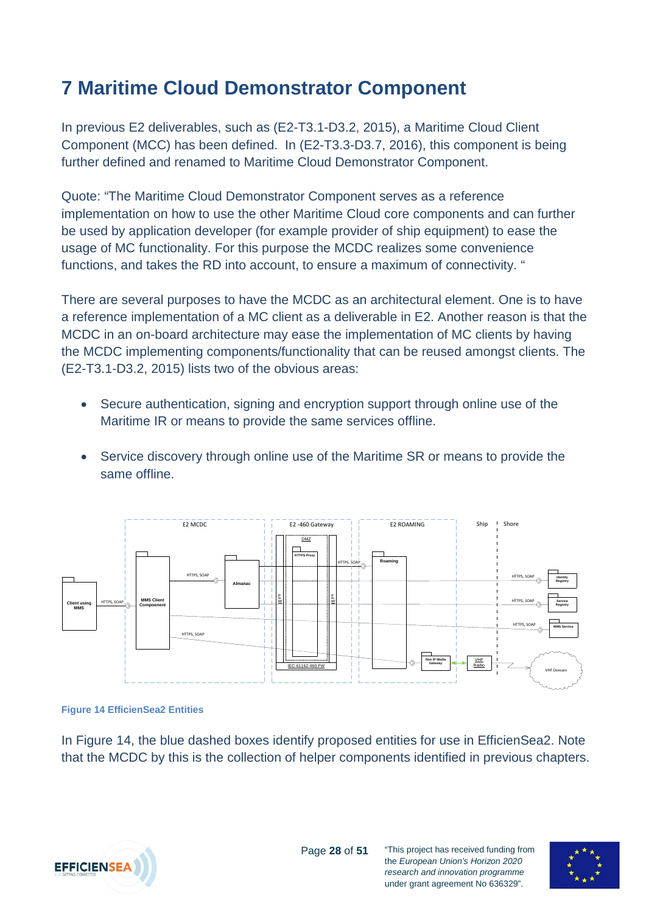## <span id="page-27-0"></span>**7 Maritime Cloud Demonstrator Component**

In previous E2 deliverables, such as (E2-T3.1-D3.2, 2015), a Maritime Cloud Client Component (MCC) has been defined. In (E2-T3.3-D3.7, 2016), this component is being further defined and renamed to Maritime Cloud Demonstrator Component.

Quote: "The Maritime Cloud Demonstrator Component serves as a reference implementation on how to use the other Maritime Cloud core components and can further be used by application developer (for example provider of ship equipment) to ease the usage of MC functionality. For this purpose the MCDC realizes some convenience functions, and takes the RD into account, to ensure a maximum of connectivity. "

There are several purposes to have the MCDC as an architectural element. One is to have a reference implementation of a MC client as a deliverable in E2. Another reason is that the MCDC in an on-board architecture may ease the implementation of MC clients by having the MCDC implementing components/functionality that can be reused amongst clients. The (E2-T3.1-D3.2, 2015) lists two of the obvious areas:

- Secure authentication, signing and encryption support through online use of the Maritime IR or means to provide the same services offline.
- Service discovery through online use of the Maritime SR or means to provide the same offline.



#### <span id="page-27-1"></span>**Figure 14 EfficienSea2 Entities**

In [Figure 14,](#page-27-1) the blue dashed boxes identify proposed entities for use in EfficienSea2. Note that the MCDC by this is the collection of helper components identified in previous chapters.



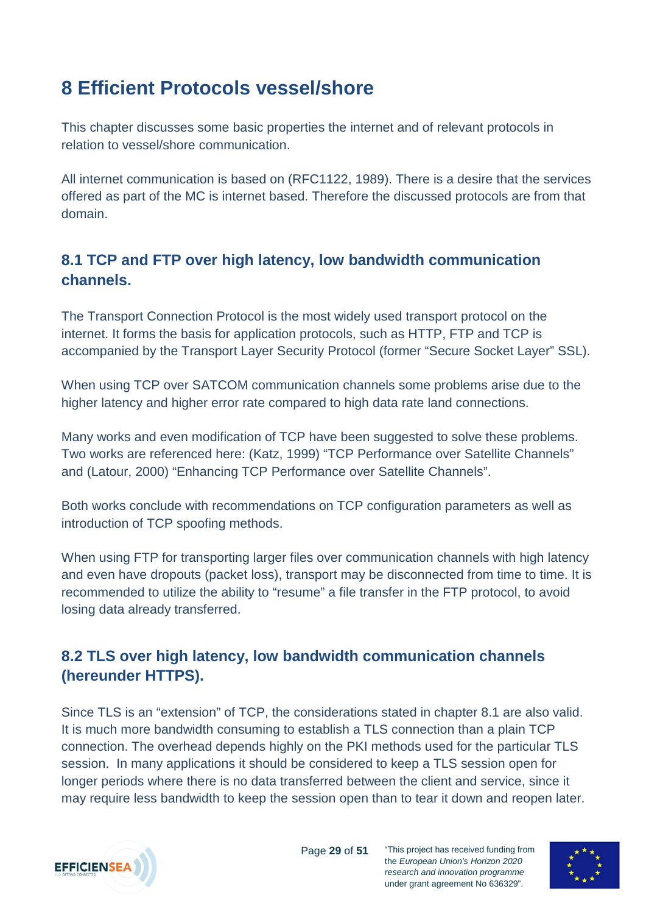## <span id="page-28-0"></span>**8 Efficient Protocols vessel/shore**

This chapter discusses some basic properties the internet and of relevant protocols in relation to vessel/shore communication.

All internet communication is based on (RFC1122, 1989). There is a desire that the services offered as part of the MC is internet based. Therefore the discussed protocols are from that domain.

### <span id="page-28-1"></span>**8.1 TCP and FTP over high latency, low bandwidth communication channels.**

The Transport Connection Protocol is the most widely used transport protocol on the internet. It forms the basis for application protocols, such as HTTP, FTP and TCP is accompanied by the Transport Layer Security Protocol (former "Secure Socket Layer" SSL).

When using TCP over SATCOM communication channels some problems arise due to the higher latency and higher error rate compared to high data rate land connections.

Many works and even modification of TCP have been suggested to solve these problems. Two works are referenced here: (Katz, 1999) "TCP Performance over Satellite Channels" and (Latour, 2000) "Enhancing TCP Performance over Satellite Channels".

Both works conclude with recommendations on TCP configuration parameters as well as introduction of TCP spoofing methods.

When using FTP for transporting larger files over communication channels with high latency and even have dropouts (packet loss), transport may be disconnected from time to time. It is recommended to utilize the ability to "resume" a file transfer in the FTP protocol, to avoid losing data already transferred.

### <span id="page-28-2"></span>**8.2 TLS over high latency, low bandwidth communication channels (hereunder HTTPS).**

Since TLS is an "extension" of TCP, the considerations stated in chapter [8.1](#page-28-1) are also valid. It is much more bandwidth consuming to establish a TLS connection than a plain TCP connection. The overhead depends highly on the PKI methods used for the particular TLS session. In many applications it should be considered to keep a TLS session open for longer periods where there is no data transferred between the client and service, since it may require less bandwidth to keep the session open than to tear it down and reopen later.



Page **29** of **51**

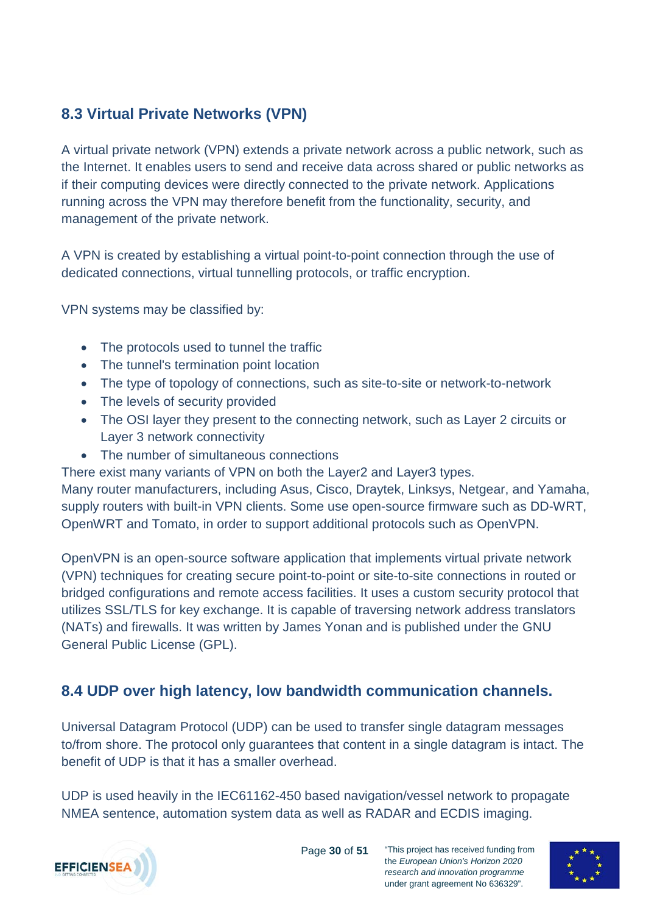### <span id="page-29-0"></span>**8.3 Virtual Private Networks (VPN)**

A virtual private network (VPN) extends a private network across a public network, such as the Internet. It enables users to send and receive data across shared or public networks as if their computing devices were directly connected to the private network. Applications running across the VPN may therefore benefit from the functionality, security, and management of the private network.

A VPN is created by establishing a virtual point-to-point connection through the use of dedicated connections, virtual tunnelling protocols, or traffic encryption.

VPN systems may be classified by:

- The protocols used to tunnel the traffic
- The tunnel's termination point location
- The type of topology of connections, such as site-to-site or network-to-network
- The levels of security provided
- The OSI layer they present to the connecting network, such as Layer 2 circuits or Layer 3 network connectivity
- The number of simultaneous connections
- There exist many variants of VPN on both the Layer2 and Layer3 types.

Many router manufacturers, including Asus, Cisco, Draytek, Linksys, Netgear, and Yamaha, supply routers with built-in VPN clients. Some use open-source firmware such as DD-WRT, [OpenWRT](https://en.wikipedia.org/wiki/OpenWRT) and Tomato, in order to support additional protocols such as [OpenVPN.](https://en.wikipedia.org/wiki/OpenVPN)

OpenVPN is an open-source software application that implements virtual private network (VPN) techniques for creating secure point-to-point or site-to-site connections in routed or bridged configurations and remote access facilities. It uses a custom security protocol that utilizes SSL/TLS for key exchange. It is capable of traversing network address translators (NATs) and firewalls. It was written by James Yonan and is published under the GNU General Public License (GPL).

### <span id="page-29-1"></span>**8.4 UDP over high latency, low bandwidth communication channels.**

Universal Datagram Protocol (UDP) can be used to transfer single datagram messages to/from shore. The protocol only guarantees that content in a single datagram is intact. The benefit of UDP is that it has a smaller overhead.

UDP is used heavily in the IEC61162-450 based navigation/vessel network to propagate NMEA sentence, automation system data as well as RADAR and ECDIS imaging.



Page **30** of **51**

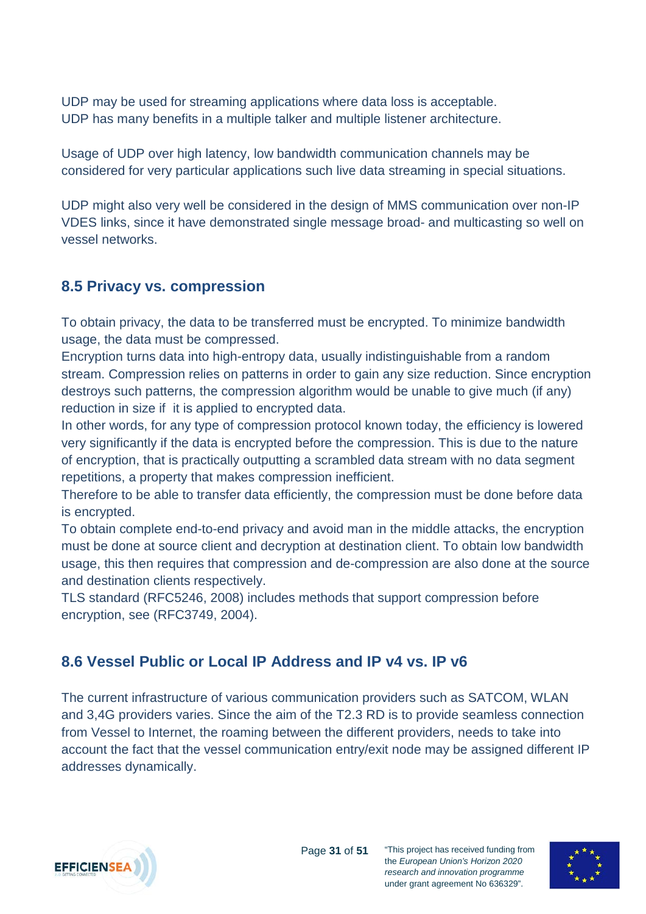UDP may be used for streaming applications where data loss is acceptable. UDP has many benefits in a multiple talker and multiple listener architecture.

Usage of UDP over high latency, low bandwidth communication channels may be considered for very particular applications such live data streaming in special situations.

UDP might also very well be considered in the design of MMS communication over non-IP VDES links, since it have demonstrated single message broad- and multicasting so well on vessel networks.

### <span id="page-30-0"></span>**8.5 Privacy vs. compression**

To obtain privacy, the data to be transferred must be encrypted. To minimize bandwidth usage, the data must be compressed.

Encryption turns data into high-entropy data, usually indistinguishable from a random stream. Compression relies on patterns in order to gain any size reduction. Since encryption destroys such patterns, the compression algorithm would be unable to give much (if any) reduction in size if it is applied to encrypted data.

In other words, for any type of compression protocol known today, the efficiency is lowered very significantly if the data is encrypted before the compression. This is due to the nature of encryption, that is practically outputting a scrambled data stream with no data segment repetitions, a property that makes compression inefficient.

Therefore to be able to transfer data efficiently, the compression must be done before data is encrypted.

To obtain complete end-to-end privacy and avoid man in the middle attacks, the encryption must be done at source client and decryption at destination client. To obtain low bandwidth usage, this then requires that compression and de-compression are also done at the source and destination clients respectively.

TLS standard (RFC5246, 2008) includes methods that support compression before encryption, see (RFC3749, 2004).

### <span id="page-30-1"></span>**8.6 Vessel Public or Local IP Address and IP v4 vs. IP v6**

The current infrastructure of various communication providers such as SATCOM, WLAN and 3,4G providers varies. Since the aim of the T2.3 RD is to provide seamless connection from Vessel to Internet, the roaming between the different providers, needs to take into account the fact that the vessel communication entry/exit node may be assigned different IP addresses dynamically.



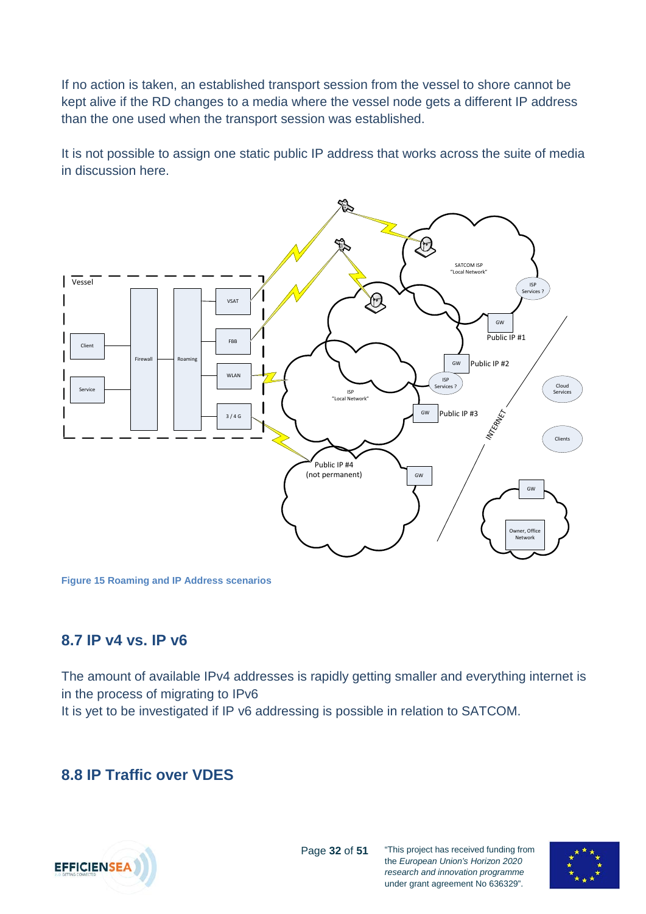If no action is taken, an established transport session from the vessel to shore cannot be kept alive if the RD changes to a media where the vessel node gets a different IP address than the one used when the transport session was established.

It is not possible to assign one static public IP address that works across the suite of media in discussion here.



**Figure 15 Roaming and IP Address scenarios**

### <span id="page-31-0"></span>**8.7 IP v4 vs. IP v6**

The amount of available IPv4 addresses is rapidly getting smaller and everything internet is in the process of migrating to IPv6

It is yet to be investigated if IP v6 addressing is possible in relation to SATCOM.

### <span id="page-31-1"></span>**8.8 IP Traffic over VDES**



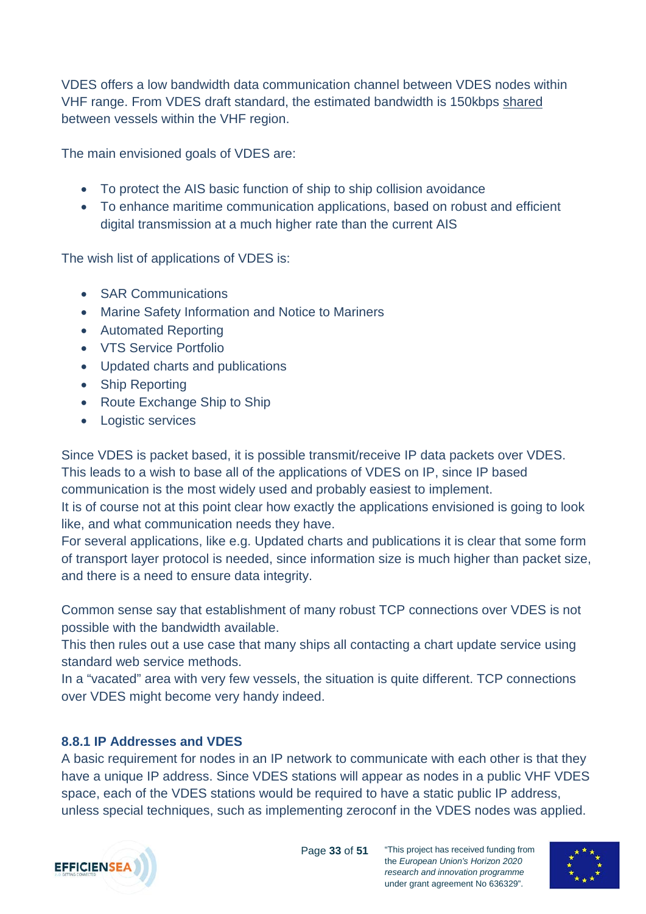VDES offers a low bandwidth data communication channel between VDES nodes within VHF range. From VDES draft standard, the estimated bandwidth is 150kbps shared between vessels within the VHF region.

The main envisioned goals of VDES are:

- To protect the AIS basic function of ship to ship collision avoidance
- To enhance maritime communication applications, based on robust and efficient digital transmission at a much higher rate than the current AIS

The wish list of applications of VDES is:

- **SAR Communications**
- Marine Safety Information and Notice to Mariners
- Automated Reporting
- VTS Service Portfolio
- Updated charts and publications
- Ship Reporting
- Route Exchange Ship to Ship
- Logistic services

Since VDES is packet based, it is possible transmit/receive IP data packets over VDES. This leads to a wish to base all of the applications of VDES on IP, since IP based communication is the most widely used and probably easiest to implement.

It is of course not at this point clear how exactly the applications envisioned is going to look like, and what communication needs they have.

For several applications, like e.g. Updated charts and publications it is clear that some form of transport layer protocol is needed, since information size is much higher than packet size, and there is a need to ensure data integrity.

Common sense say that establishment of many robust TCP connections over VDES is not possible with the bandwidth available.

This then rules out a use case that many ships all contacting a chart update service using standard web service methods.

In a "vacated" area with very few vessels, the situation is quite different. TCP connections over VDES might become very handy indeed.

#### <span id="page-32-0"></span>**8.8.1 IP Addresses and VDES**

A basic requirement for nodes in an IP network to communicate with each other is that they have a unique IP address. Since VDES stations will appear as nodes in a public VHF VDES space, each of the VDES stations would be required to have a static public IP address, unless special techniques, such as implementing zeroconf in the VDES nodes was applied.



Page **33** of **51**

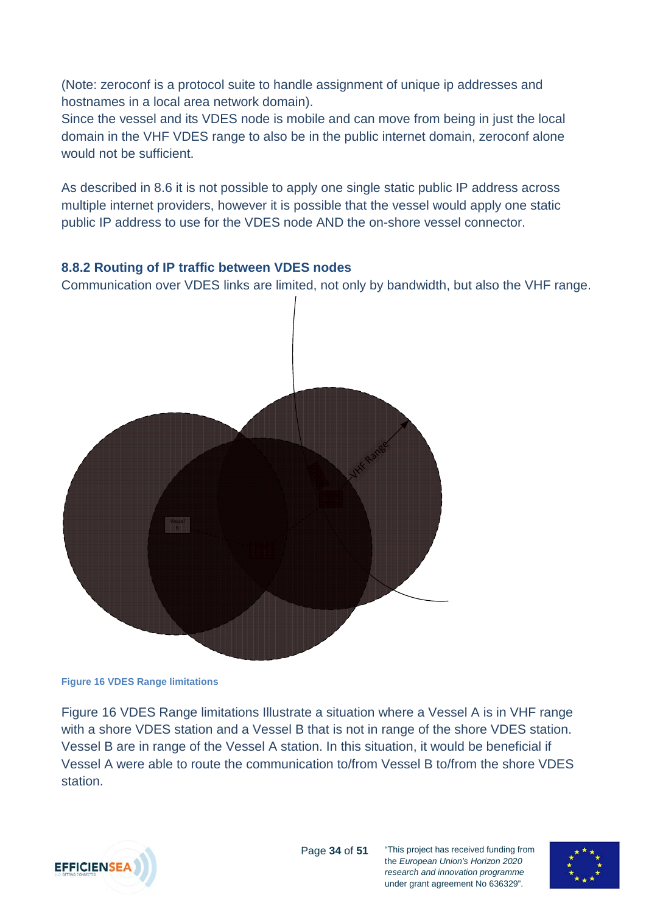(Note: zeroconf is a protocol suite to handle assignment of unique ip addresses and hostnames in a local area network domain).

Since the vessel and its VDES node is mobile and can move from being in just the local domain in the VHF VDES range to also be in the public internet domain, zeroconf alone would not be sufficient.

As described in [8.6](#page-30-1) it is not possible to apply one single static public IP address across multiple internet providers, however it is possible that the vessel would apply one static public IP address to use for the VDES node AND the on-shore vessel connector.

#### <span id="page-33-0"></span>**8.8.2 Routing of IP traffic between VDES nodes**

Communication over VDES links are limited, not only by bandwidth, but also the VHF range.



<span id="page-33-1"></span>**Figure 16 VDES Range limitations**

[Figure 16 VDES Range limitations](#page-33-1) Illustrate a situation where a Vessel A is in VHF range with a shore VDES station and a Vessel B that is not in range of the shore VDES station. Vessel B are in range of the Vessel A station. In this situation, it would be beneficial if Vessel A were able to route the communication to/from Vessel B to/from the shore VDES station.



under grant agreement No 636329".

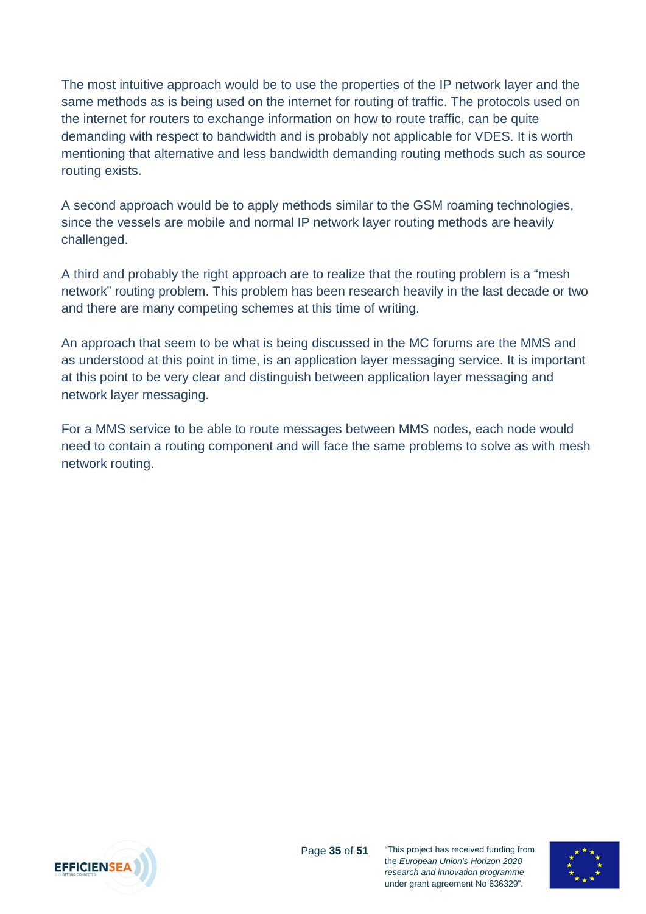The most intuitive approach would be to use the properties of the IP network layer and the same methods as is being used on the internet for routing of traffic. The protocols used on the internet for routers to exchange information on how to route traffic, can be quite demanding with respect to bandwidth and is probably not applicable for VDES. It is worth mentioning that alternative and less bandwidth demanding routing methods such as source routing exists.

A second approach would be to apply methods similar to the GSM roaming technologies, since the vessels are mobile and normal IP network layer routing methods are heavily challenged.

A third and probably the right approach are to realize that the routing problem is a "mesh network" routing problem. This problem has been research heavily in the last decade or two and there are many competing schemes at this time of writing.

An approach that seem to be what is being discussed in the MC forums are the MMS and as understood at this point in time, is an application layer messaging service. It is important at this point to be very clear and distinguish between application layer messaging and network layer messaging.

For a MMS service to be able to route messages between MMS nodes, each node would need to contain a routing component and will face the same problems to solve as with mesh network routing.



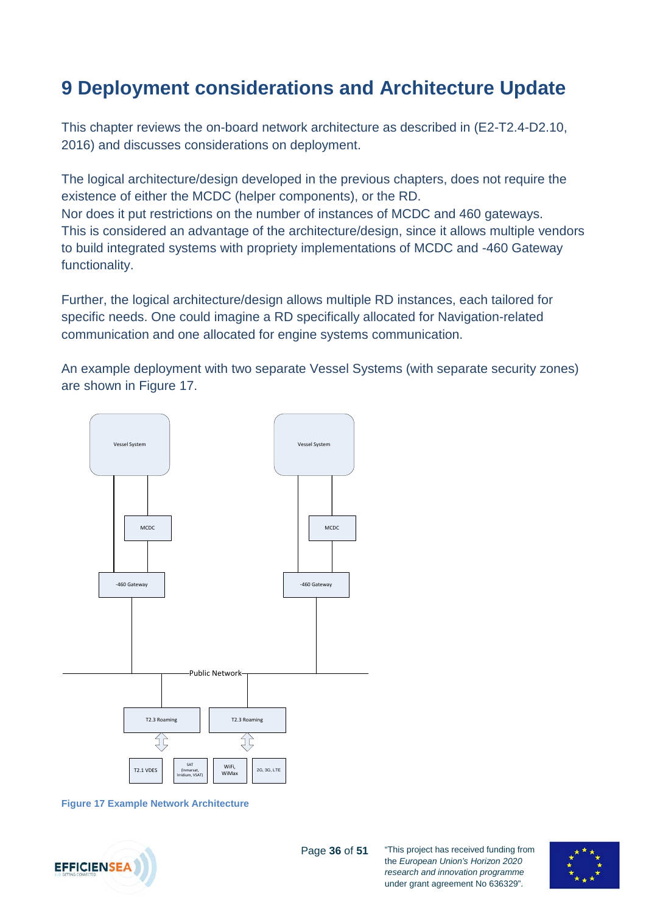## <span id="page-35-0"></span>**9 Deployment considerations and Architecture Update**

This chapter reviews the on-board network architecture as described in (E2-T2.4-D2.10, 2016) and discusses considerations on deployment.

The logical architecture/design developed in the previous chapters, does not require the existence of either the MCDC (helper components), or the RD. Nor does it put restrictions on the number of instances of MCDC and 460 gateways. This is considered an advantage of the architecture/design, since it allows multiple vendors to build integrated systems with propriety implementations of MCDC and -460 Gateway functionality.

Further, the logical architecture/design allows multiple RD instances, each tailored for specific needs. One could imagine a RD specifically allocated for Navigation-related communication and one allocated for engine systems communication.

An example deployment with two separate Vessel Systems (with separate security zones) are shown in [Figure 17.](#page-35-1)



<span id="page-35-1"></span>**Figure 17 Example Network Architecture**



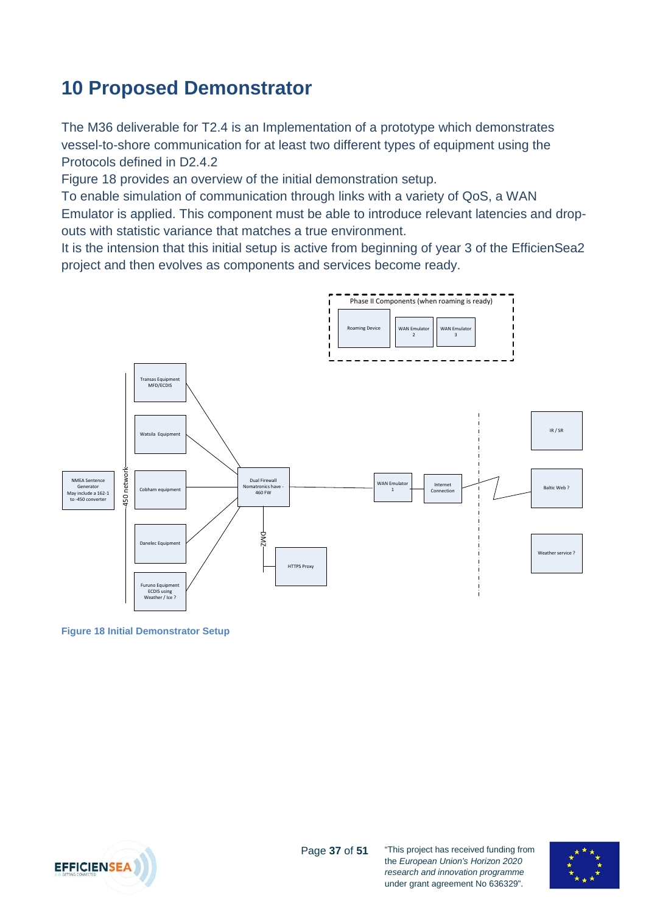## <span id="page-36-0"></span>**10 Proposed Demonstrator**

The M36 deliverable for T2.4 is an Implementation of a prototype which demonstrates vessel-to-shore communication for at least two different types of equipment using the Protocols defined in D2.4.2

[Figure 18](#page-36-1) provides an overview of the initial demonstration setup.

To enable simulation of communication through links with a variety of QoS, a WAN Emulator is applied. This component must be able to introduce relevant latencies and dropouts with statistic variance that matches a true environment.

It is the intension that this initial setup is active from beginning of year 3 of the EfficienSea2 project and then evolves as components and services become ready.



<span id="page-36-1"></span>**Figure 18 Initial Demonstrator Setup**

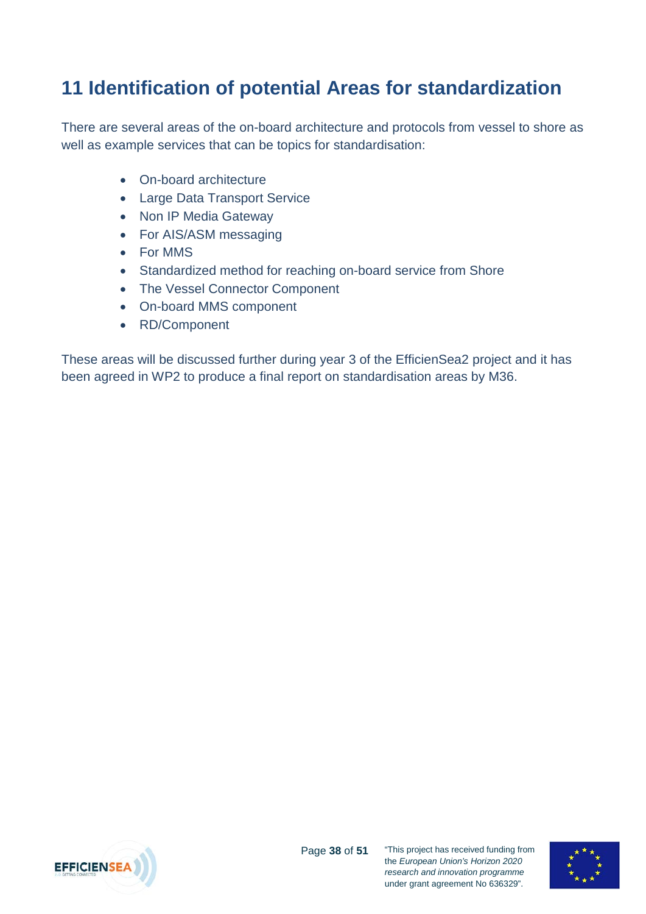## <span id="page-37-0"></span>**11 Identification of potential Areas for standardization**

There are several areas of the on-board architecture and protocols from vessel to shore as well as example services that can be topics for standardisation:

- On-board architecture
- Large Data Transport Service
- Non IP Media Gateway
- For AIS/ASM messaging
- For MMS
- Standardized method for reaching on-board service from Shore
- The Vessel Connector Component
- On-board MMS component
- RD/Component

These areas will be discussed further during year 3 of the EfficienSea2 project and it has been agreed in WP2 to produce a final report on standardisation areas by M36.



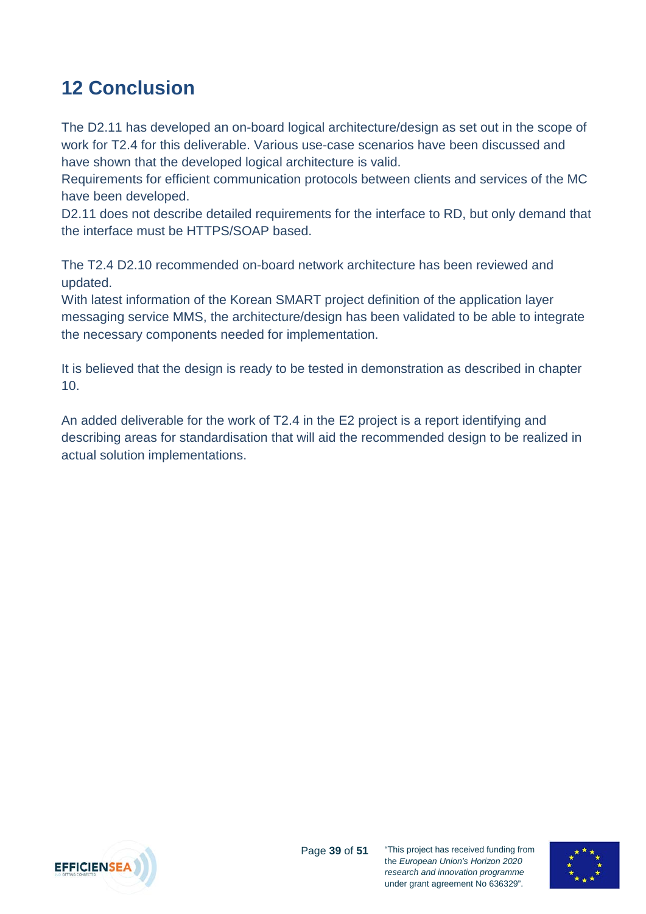## <span id="page-38-0"></span>**12 Conclusion**

The D2.11 has developed an on-board logical architecture/design as set out in the scope of work for T2.4 for this deliverable. Various use-case scenarios have been discussed and have shown that the developed logical architecture is valid.

Requirements for efficient communication protocols between clients and services of the MC have been developed.

D2.11 does not describe detailed requirements for the interface to RD, but only demand that the interface must be HTTPS/SOAP based.

The T2.4 D2.10 recommended on-board network architecture has been reviewed and updated.

With latest information of the Korean SMART project definition of the application layer messaging service MMS, the architecture/design has been validated to be able to integrate the necessary components needed for implementation.

It is believed that the design is ready to be tested in demonstration as described in chapter [10.](#page-36-0)

An added deliverable for the work of T2.4 in the E2 project is a report identifying and describing areas for standardisation that will aid the recommended design to be realized in actual solution implementations.



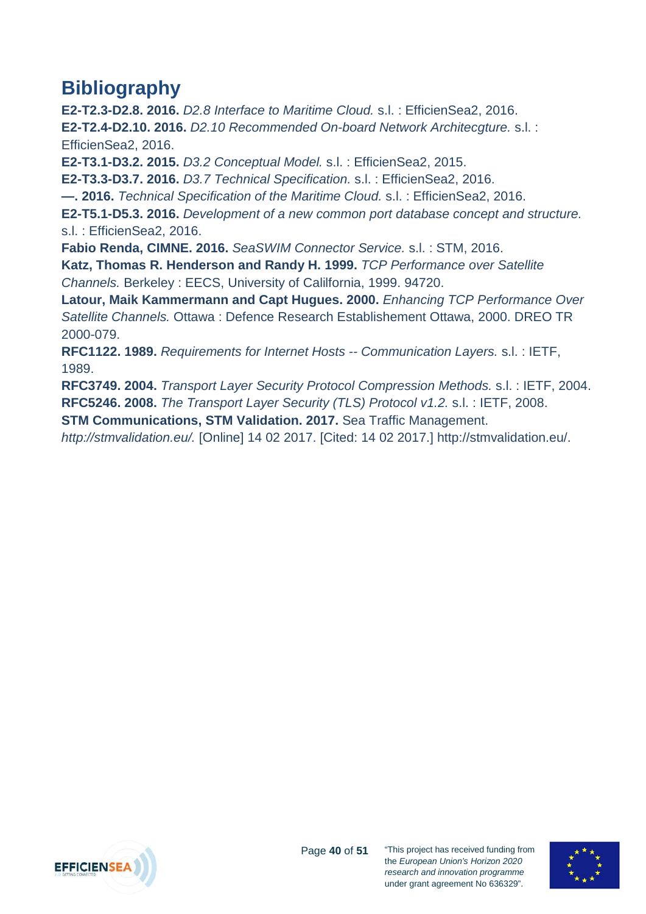## <span id="page-39-0"></span>**Bibliography**

**E2-T2.3-D2.8. 2016.** *D2.8 Interface to Maritime Cloud.* s.l. : EfficienSea2, 2016. **E2-T2.4-D2.10. 2016.** *D2.10 Recommended On-board Network Architecgture.* s.l. : EfficienSea2, 2016.

**E2-T3.1-D3.2. 2015.** *D3.2 Conceptual Model.* s.l. : EfficienSea2, 2015.

**E2-T3.3-D3.7. 2016.** *D3.7 Technical Specification.* s.l. : EfficienSea2, 2016.

**—. 2016.** *Technical Specification of the Maritime Cloud.* s.l. : EfficienSea2, 2016.

**E2-T5.1-D5.3. 2016.** *Development of a new common port database concept and structure.*  s.l. : EfficienSea2, 2016.

**Fabio Renda, CIMNE. 2016.** *SeaSWIM Connector Service.* s.l. : STM, 2016.

**Katz, Thomas R. Henderson and Randy H. 1999.** *TCP Performance over Satellite Channels.* Berkeley : EECS, University of Calilfornia, 1999. 94720.

**Latour, Maik Kammermann and Capt Hugues. 2000.** *Enhancing TCP Performance Over Satellite Channels.* Ottawa : Defence Research Establishement Ottawa, 2000. DREO TR 2000-079.

**RFC1122. 1989.** *Requirements for Internet Hosts -- Communication Layers.* s.l. : IETF, 1989.

**RFC3749. 2004.** *Transport Layer Security Protocol Compression Methods.* s.l. : IETF, 2004. **RFC5246. 2008.** *The Transport Layer Security (TLS) Protocol v1.2.* s.l. : IETF, 2008.

**STM Communications, STM Validation. 2017.** Sea Traffic Management.

*http://stmvalidation.eu/.* [Online] 14 02 2017. [Cited: 14 02 2017.] http://stmvalidation.eu/.



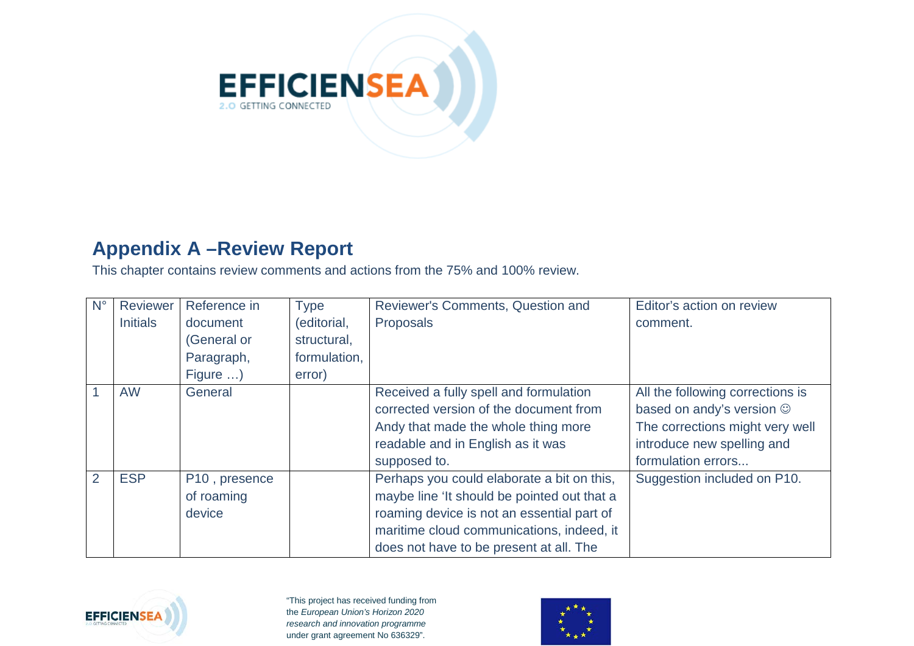

### **Appendix A –Review Report**

This chapter contains review comments and actions from the 75% and 100% review.

| $N^{\circ}$ | Reviewer        | Reference in  | <b>Type</b>  | Reviewer's Comments, Question and           | Editor's action on review        |
|-------------|-----------------|---------------|--------------|---------------------------------------------|----------------------------------|
|             | <b>Initials</b> | document      | (editorial,  | Proposals                                   | comment.                         |
|             |                 | (General or   | structural,  |                                             |                                  |
|             |                 | Paragraph,    | formulation, |                                             |                                  |
|             |                 | Figure )      | error)       |                                             |                                  |
|             | <b>AW</b>       | General       |              | Received a fully spell and formulation      | All the following corrections is |
|             |                 |               |              | corrected version of the document from      | based on andy's version $\odot$  |
|             |                 |               |              | Andy that made the whole thing more         | The corrections might very well  |
|             |                 |               |              | readable and in English as it was           | introduce new spelling and       |
|             |                 |               |              | supposed to.                                | formulation errors               |
| 2           | <b>ESP</b>      | P10, presence |              | Perhaps you could elaborate a bit on this,  | Suggestion included on P10.      |
|             |                 | of roaming    |              | maybe line 'It should be pointed out that a |                                  |
|             |                 | device        |              | roaming device is not an essential part of  |                                  |
|             |                 |               |              | maritime cloud communications, indeed, it   |                                  |
|             |                 |               |              | does not have to be present at all. The     |                                  |

<span id="page-40-0"></span>

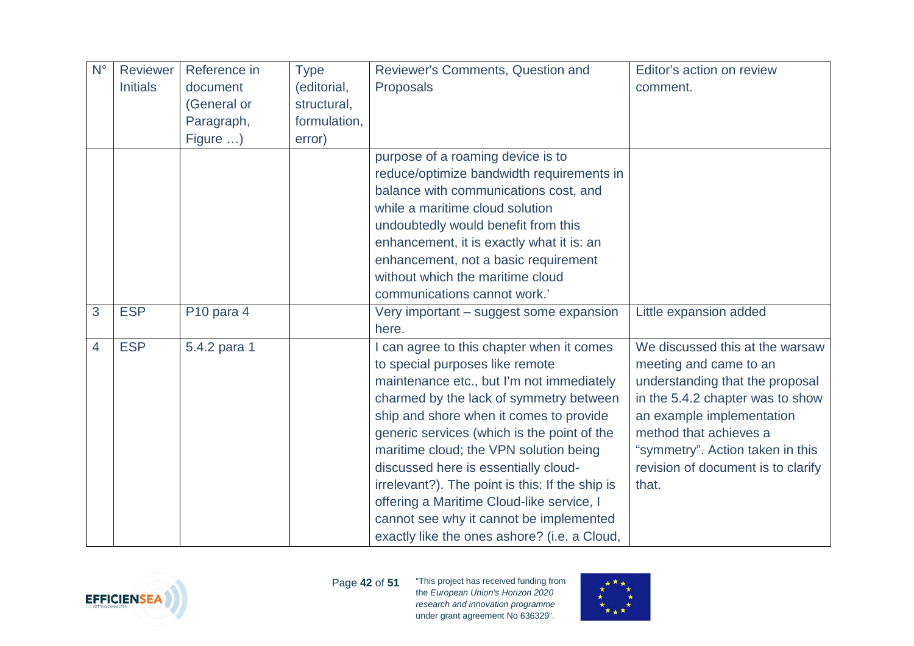| $N^{\circ}$ | Reviewer        | Reference in | <b>Type</b>  | Reviewer's Comments, Question and               | Editor's action on review          |
|-------------|-----------------|--------------|--------------|-------------------------------------------------|------------------------------------|
|             | <b>Initials</b> | document     | (editorial,  | Proposals                                       | comment.                           |
|             |                 | (General or  | structural,  |                                                 |                                    |
|             |                 | Paragraph,   | formulation, |                                                 |                                    |
|             |                 | Figure )     | error)       |                                                 |                                    |
|             |                 |              |              | purpose of a roaming device is to               |                                    |
|             |                 |              |              | reduce/optimize bandwidth requirements in       |                                    |
|             |                 |              |              | balance with communications cost, and           |                                    |
|             |                 |              |              | while a maritime cloud solution                 |                                    |
|             |                 |              |              | undoubtedly would benefit from this             |                                    |
|             |                 |              |              | enhancement, it is exactly what it is: an       |                                    |
|             |                 |              |              | enhancement, not a basic requirement            |                                    |
|             |                 |              |              | without which the maritime cloud                |                                    |
|             |                 |              |              | communications cannot work.'                    |                                    |
| 3           | <b>ESP</b>      | P10 para 4   |              | Very important - suggest some expansion         | Little expansion added             |
|             |                 |              |              | here.                                           |                                    |
| 4           | <b>ESP</b>      | 5.4.2 para 1 |              | can agree to this chapter when it comes         | We discussed this at the warsaw    |
|             |                 |              |              | to special purposes like remote                 | meeting and came to an             |
|             |                 |              |              | maintenance etc., but I'm not immediately       | understanding that the proposal    |
|             |                 |              |              | charmed by the lack of symmetry between         | in the 5.4.2 chapter was to show   |
|             |                 |              |              | ship and shore when it comes to provide         | an example implementation          |
|             |                 |              |              | generic services (which is the point of the     | method that achieves a             |
|             |                 |              |              | maritime cloud; the VPN solution being          | "symmetry". Action taken in this   |
|             |                 |              |              | discussed here is essentially cloud-            | revision of document is to clarify |
|             |                 |              |              | irrelevant?). The point is this: If the ship is | that.                              |
|             |                 |              |              | offering a Maritime Cloud-like service, I       |                                    |
|             |                 |              |              | cannot see why it cannot be implemented         |                                    |
|             |                 |              |              | exactly like the ones ashore? (i.e. a Cloud,    |                                    |



Page **42** of **51**

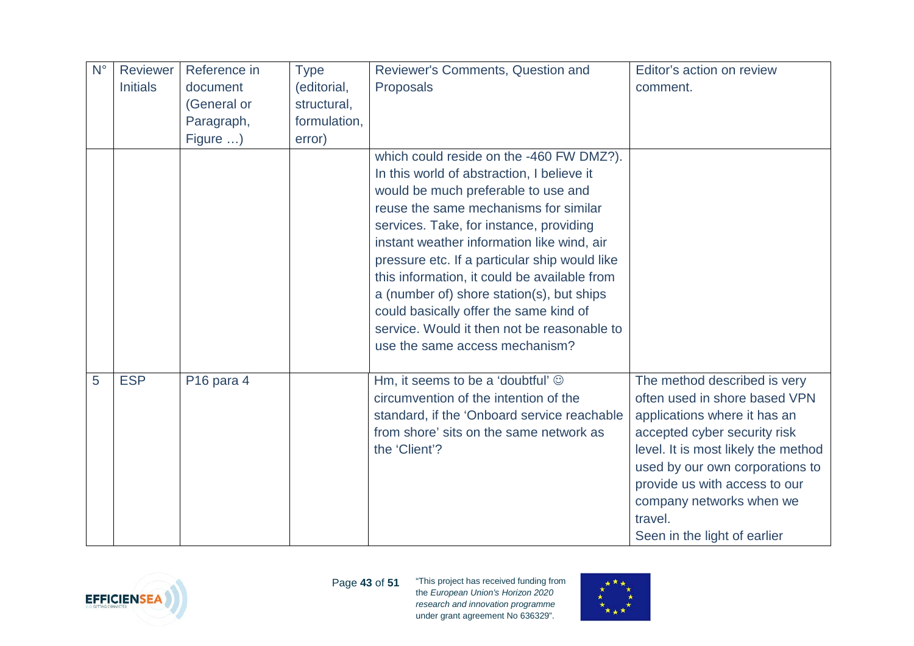| $N^{\circ}$ | <b>Reviewer</b> | Reference in           | <b>Type</b>  | Reviewer's Comments, Question and             | Editor's action on review           |
|-------------|-----------------|------------------------|--------------|-----------------------------------------------|-------------------------------------|
|             | <b>Initials</b> | document               | (editorial,  | Proposals                                     | comment.                            |
|             |                 | (General or            | structural,  |                                               |                                     |
|             |                 | Paragraph,             | formulation, |                                               |                                     |
|             |                 | Figure )               | error)       |                                               |                                     |
|             |                 |                        |              | which could reside on the -460 FW DMZ?).      |                                     |
|             |                 |                        |              | In this world of abstraction, I believe it    |                                     |
|             |                 |                        |              | would be much preferable to use and           |                                     |
|             |                 |                        |              | reuse the same mechanisms for similar         |                                     |
|             |                 |                        |              | services. Take, for instance, providing       |                                     |
|             |                 |                        |              | instant weather information like wind, air    |                                     |
|             |                 |                        |              | pressure etc. If a particular ship would like |                                     |
|             |                 |                        |              | this information, it could be available from  |                                     |
|             |                 |                        |              | a (number of) shore station(s), but ships     |                                     |
|             |                 |                        |              | could basically offer the same kind of        |                                     |
|             |                 |                        |              | service. Would it then not be reasonable to   |                                     |
|             |                 |                        |              | use the same access mechanism?                |                                     |
|             |                 |                        |              |                                               |                                     |
| 5           | <b>ESP</b>      | P <sub>16</sub> para 4 |              | Hm, it seems to be a 'doubtful' $\odot$       | The method described is very        |
|             |                 |                        |              | circumvention of the intention of the         | often used in shore based VPN       |
|             |                 |                        |              | standard, if the 'Onboard service reachable   | applications where it has an        |
|             |                 |                        |              | from shore' sits on the same network as       | accepted cyber security risk        |
|             |                 |                        |              | the 'Client'?                                 | level. It is most likely the method |
|             |                 |                        |              |                                               | used by our own corporations to     |
|             |                 |                        |              |                                               | provide us with access to our       |
|             |                 |                        |              |                                               | company networks when we            |
|             |                 |                        |              |                                               | travel.                             |
|             |                 |                        |              |                                               | Seen in the light of earlier        |



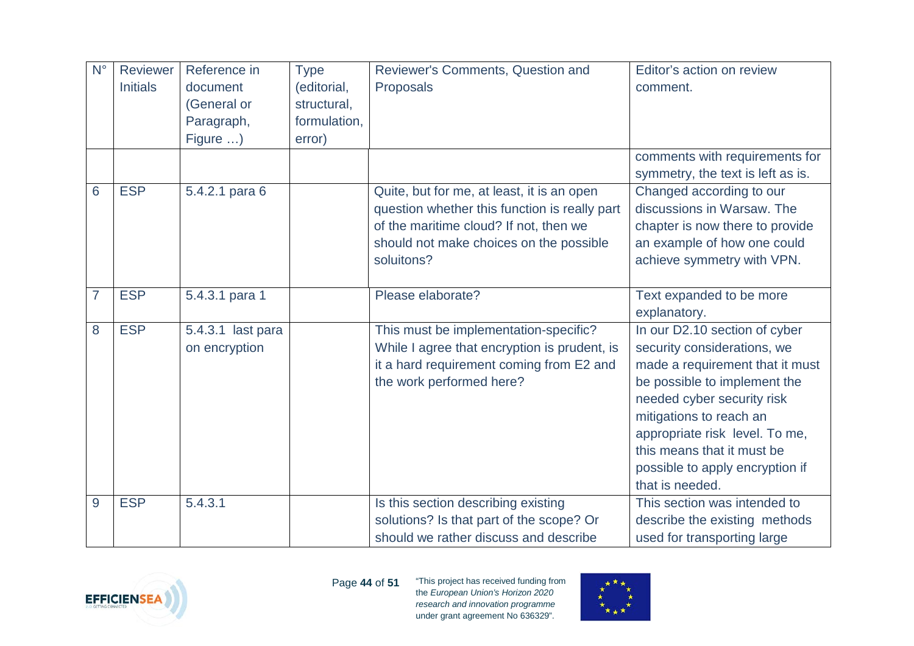| $N^{\circ}$    | Reviewer        | Reference in      | <b>Type</b>  | Reviewer's Comments, Question and             | Editor's action on review         |
|----------------|-----------------|-------------------|--------------|-----------------------------------------------|-----------------------------------|
|                | <b>Initials</b> | document          | (editorial,  | Proposals                                     | comment.                          |
|                |                 | (General or       | structural,  |                                               |                                   |
|                |                 | Paragraph,        | formulation, |                                               |                                   |
|                |                 | Figure )          | error)       |                                               |                                   |
|                |                 |                   |              |                                               | comments with requirements for    |
|                |                 |                   |              |                                               | symmetry, the text is left as is. |
| 6              | <b>ESP</b>      | 5.4.2.1 para 6    |              | Quite, but for me, at least, it is an open    | Changed according to our          |
|                |                 |                   |              | question whether this function is really part | discussions in Warsaw. The        |
|                |                 |                   |              | of the maritime cloud? If not, then we        | chapter is now there to provide   |
|                |                 |                   |              | should not make choices on the possible       | an example of how one could       |
|                |                 |                   |              | soluitons?                                    | achieve symmetry with VPN.        |
|                |                 |                   |              |                                               |                                   |
| $\overline{7}$ | <b>ESP</b>      | 5.4.3.1 para 1    |              | Please elaborate?                             | Text expanded to be more          |
|                |                 |                   |              |                                               | explanatory.                      |
| 8              | <b>ESP</b>      | 5.4.3.1 last para |              | This must be implementation-specific?         | In our D2.10 section of cyber     |
|                |                 | on encryption     |              | While I agree that encryption is prudent, is  | security considerations, we       |
|                |                 |                   |              | it a hard requirement coming from E2 and      | made a requirement that it must   |
|                |                 |                   |              | the work performed here?                      | be possible to implement the      |
|                |                 |                   |              |                                               | needed cyber security risk        |
|                |                 |                   |              |                                               | mitigations to reach an           |
|                |                 |                   |              |                                               | appropriate risk level. To me,    |
|                |                 |                   |              |                                               | this means that it must be        |
|                |                 |                   |              |                                               | possible to apply encryption if   |
|                |                 |                   |              |                                               | that is needed.                   |
| 9              | <b>ESP</b>      | 5.4.3.1           |              | Is this section describing existing           | This section was intended to      |
|                |                 |                   |              | solutions? Is that part of the scope? Or      | describe the existing methods     |
|                |                 |                   |              | should we rather discuss and describe         | used for transporting large       |



Page **44** of **51**

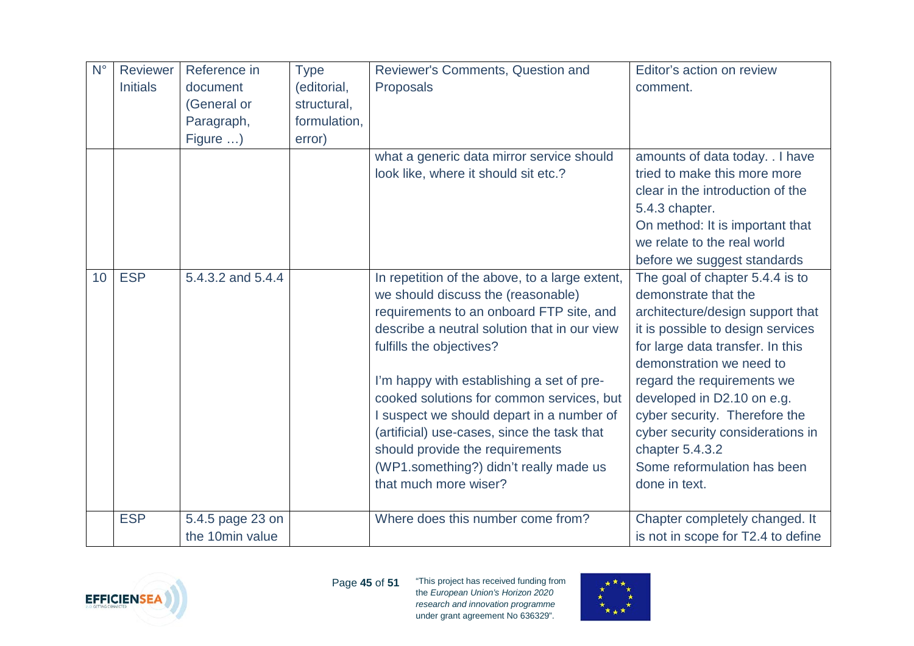| $N^{\circ}$     | Reviewer        | Reference in      | <b>Type</b>  | Reviewer's Comments, Question and              | Editor's action on review          |
|-----------------|-----------------|-------------------|--------------|------------------------------------------------|------------------------------------|
|                 | <b>Initials</b> | document          | (editorial,  | Proposals                                      | comment.                           |
|                 |                 | (General or       | structural,  |                                                |                                    |
|                 |                 | Paragraph,        | formulation, |                                                |                                    |
|                 |                 | Figure )          | error)       |                                                |                                    |
|                 |                 |                   |              | what a generic data mirror service should      | amounts of data today. . I have    |
|                 |                 |                   |              | look like, where it should sit etc.?           | tried to make this more more       |
|                 |                 |                   |              |                                                | clear in the introduction of the   |
|                 |                 |                   |              |                                                | 5.4.3 chapter.                     |
|                 |                 |                   |              |                                                | On method: It is important that    |
|                 |                 |                   |              |                                                | we relate to the real world        |
|                 |                 |                   |              |                                                | before we suggest standards        |
| 10 <sup>°</sup> | <b>ESP</b>      | 5.4.3.2 and 5.4.4 |              | In repetition of the above, to a large extent, | The goal of chapter 5.4.4 is to    |
|                 |                 |                   |              | we should discuss the (reasonable)             | demonstrate that the               |
|                 |                 |                   |              | requirements to an onboard FTP site, and       | architecture/design support that   |
|                 |                 |                   |              | describe a neutral solution that in our view   | it is possible to design services  |
|                 |                 |                   |              | fulfills the objectives?                       | for large data transfer. In this   |
|                 |                 |                   |              |                                                | demonstration we need to           |
|                 |                 |                   |              | I'm happy with establishing a set of pre-      | regard the requirements we         |
|                 |                 |                   |              | cooked solutions for common services, but      | developed in D2.10 on e.g.         |
|                 |                 |                   |              | I suspect we should depart in a number of      | cyber security. Therefore the      |
|                 |                 |                   |              | (artificial) use-cases, since the task that    | cyber security considerations in   |
|                 |                 |                   |              | should provide the requirements                | chapter $5.4.3.2$                  |
|                 |                 |                   |              | (WP1.something?) didn't really made us         | Some reformulation has been        |
|                 |                 |                   |              | that much more wiser?                          | done in text.                      |
|                 |                 |                   |              |                                                |                                    |
|                 | <b>ESP</b>      | 5.4.5 page 23 on  |              | Where does this number come from?              | Chapter completely changed. It     |
|                 |                 | the 10min value   |              |                                                | is not in scope for T2.4 to define |



Page **45** of **51**

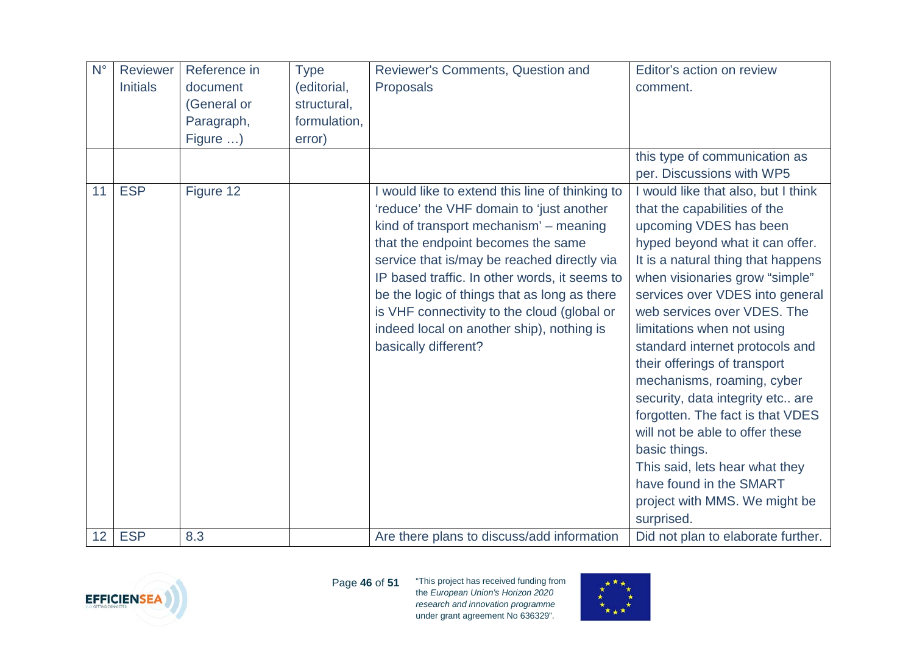| $N^{\circ}$ | Reviewer        | Reference in | <b>Type</b>  | Reviewer's Comments, Question and               | Editor's action on review           |
|-------------|-----------------|--------------|--------------|-------------------------------------------------|-------------------------------------|
|             | <b>Initials</b> | document     | (editorial,  | Proposals                                       | comment.                            |
|             |                 | (General or  | structural,  |                                                 |                                     |
|             |                 | Paragraph,   | formulation, |                                                 |                                     |
|             |                 | Figure )     | error)       |                                                 |                                     |
|             |                 |              |              |                                                 | this type of communication as       |
|             |                 |              |              |                                                 | per. Discussions with WP5           |
| 11          | <b>ESP</b>      | Figure 12    |              | I would like to extend this line of thinking to | I would like that also, but I think |
|             |                 |              |              | 'reduce' the VHF domain to 'just another        | that the capabilities of the        |
|             |                 |              |              | kind of transport mechanism' - meaning          | upcoming VDES has been              |
|             |                 |              |              | that the endpoint becomes the same              | hyped beyond what it can offer.     |
|             |                 |              |              | service that is/may be reached directly via     | It is a natural thing that happens  |
|             |                 |              |              | IP based traffic. In other words, it seems to   | when visionaries grow "simple"      |
|             |                 |              |              | be the logic of things that as long as there    | services over VDES into general     |
|             |                 |              |              | is VHF connectivity to the cloud (global or     | web services over VDES. The         |
|             |                 |              |              | indeed local on another ship), nothing is       | limitations when not using          |
|             |                 |              |              | basically different?                            | standard internet protocols and     |
|             |                 |              |              |                                                 | their offerings of transport        |
|             |                 |              |              |                                                 | mechanisms, roaming, cyber          |
|             |                 |              |              |                                                 | security, data integrity etc are    |
|             |                 |              |              |                                                 | forgotten. The fact is that VDES    |
|             |                 |              |              |                                                 | will not be able to offer these     |
|             |                 |              |              |                                                 | basic things.                       |
|             |                 |              |              |                                                 | This said, lets hear what they      |
|             |                 |              |              |                                                 | have found in the SMART             |
|             |                 |              |              |                                                 | project with MMS. We might be       |
|             |                 |              |              |                                                 | surprised.                          |
| 12          | <b>ESP</b>      | 8.3          |              | Are there plans to discuss/add information      | Did not plan to elaborate further.  |



Page **46** of **51**

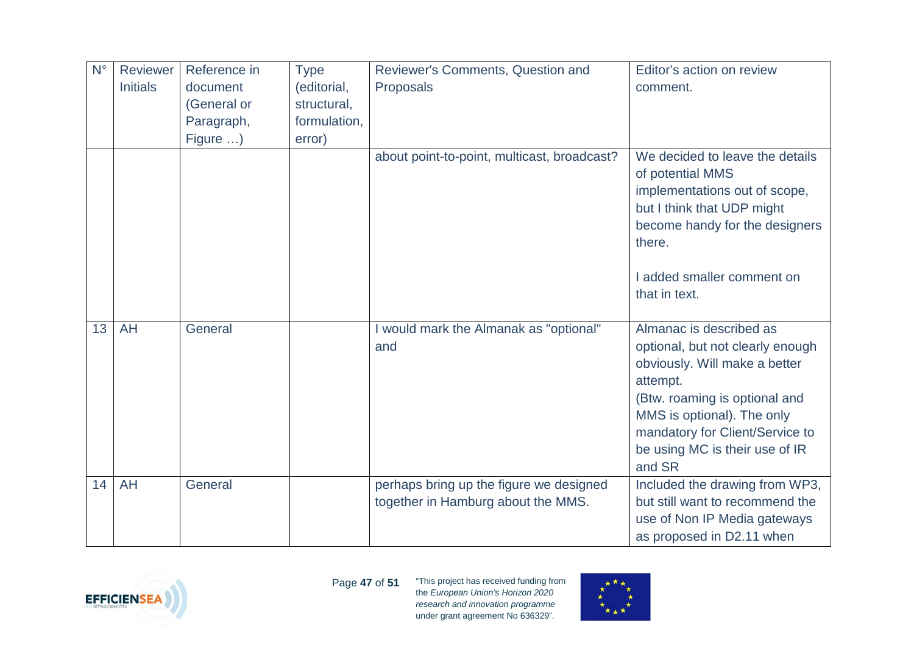| $N^{\circ}$ | Reviewer        | Reference in | <b>Type</b>  | Reviewer's Comments, Question and             | Editor's action on review                                                                                                                                      |
|-------------|-----------------|--------------|--------------|-----------------------------------------------|----------------------------------------------------------------------------------------------------------------------------------------------------------------|
|             | <b>Initials</b> | document     | (editorial,  | Proposals                                     | comment.                                                                                                                                                       |
|             |                 | (General or  | structural,  |                                               |                                                                                                                                                                |
|             |                 | Paragraph,   | formulation, |                                               |                                                                                                                                                                |
|             |                 | Figure )     | error)       |                                               |                                                                                                                                                                |
|             |                 |              |              | about point-to-point, multicast, broadcast?   | We decided to leave the details<br>of potential MMS<br>implementations out of scope,<br>but I think that UDP might<br>become handy for the designers<br>there. |
|             |                 |              |              |                                               | I added smaller comment on<br>that in text.                                                                                                                    |
| 13          | <b>AH</b>       | General      |              | I would mark the Almanak as "optional"<br>and | Almanac is described as<br>optional, but not clearly enough                                                                                                    |
|             |                 |              |              |                                               | obviously. Will make a better<br>attempt.                                                                                                                      |
|             |                 |              |              |                                               | (Btw. roaming is optional and<br>MMS is optional). The only<br>mandatory for Client/Service to                                                                 |
|             |                 |              |              |                                               | be using MC is their use of IR<br>and SR                                                                                                                       |
| 14          | <b>AH</b>       | General      |              | perhaps bring up the figure we designed       | Included the drawing from WP3,                                                                                                                                 |
|             |                 |              |              | together in Hamburg about the MMS.            | but still want to recommend the                                                                                                                                |
|             |                 |              |              |                                               | use of Non IP Media gateways                                                                                                                                   |
|             |                 |              |              |                                               | as proposed in D2.11 when                                                                                                                                      |



Page **47** of **51**

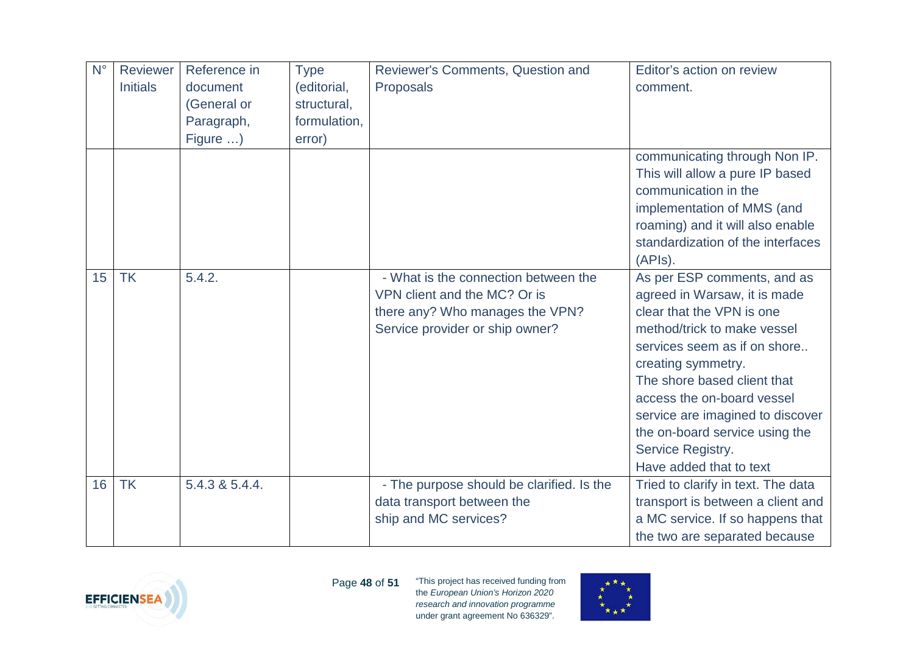| $N^{\circ}$      | Reviewer        | Reference in   | <b>Type</b>  | Reviewer's Comments, Question and                                                                                                          | Editor's action on review                                                                                                                                                                                                                                                                                                                                        |
|------------------|-----------------|----------------|--------------|--------------------------------------------------------------------------------------------------------------------------------------------|------------------------------------------------------------------------------------------------------------------------------------------------------------------------------------------------------------------------------------------------------------------------------------------------------------------------------------------------------------------|
|                  | <b>Initials</b> | document       | (editorial,  | Proposals                                                                                                                                  | comment.                                                                                                                                                                                                                                                                                                                                                         |
|                  |                 | (General or    | structural,  |                                                                                                                                            |                                                                                                                                                                                                                                                                                                                                                                  |
|                  |                 | Paragraph,     | formulation, |                                                                                                                                            |                                                                                                                                                                                                                                                                                                                                                                  |
|                  |                 | Figure )       | error)       |                                                                                                                                            |                                                                                                                                                                                                                                                                                                                                                                  |
|                  |                 |                |              |                                                                                                                                            | communicating through Non IP.<br>This will allow a pure IP based<br>communication in the<br>implementation of MMS (and<br>roaming) and it will also enable<br>standardization of the interfaces<br>$(APIs)$ .                                                                                                                                                    |
| 15 <sup>15</sup> | <b>TK</b>       | 5.4.2.         |              | - What is the connection between the<br>VPN client and the MC? Or is<br>there any? Who manages the VPN?<br>Service provider or ship owner? | As per ESP comments, and as<br>agreed in Warsaw, it is made<br>clear that the VPN is one<br>method/trick to make vessel<br>services seem as if on shore<br>creating symmetry.<br>The shore based client that<br>access the on-board vessel<br>service are imagined to discover<br>the on-board service using the<br>Service Registry.<br>Have added that to text |
| 16               | <b>TK</b>       | 5.4.3 & 5.4.4. |              | - The purpose should be clarified. Is the<br>data transport between the<br>ship and MC services?                                           | Tried to clarify in text. The data<br>transport is between a client and<br>a MC service. If so happens that                                                                                                                                                                                                                                                      |
|                  |                 |                |              |                                                                                                                                            | the two are separated because                                                                                                                                                                                                                                                                                                                                    |



Page **48** of **51**

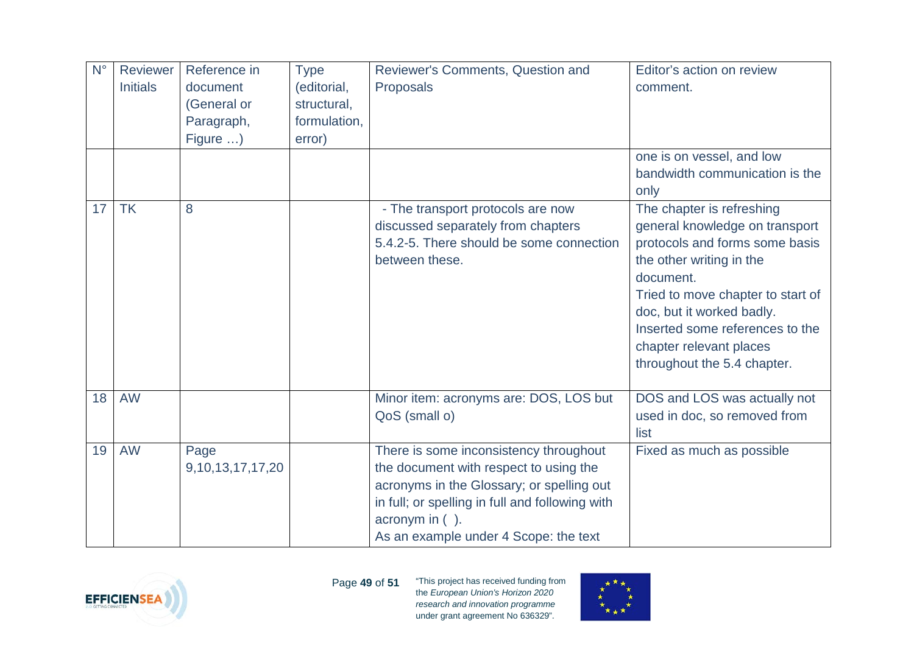| $N^{\circ}$ | Reviewer        | Reference in          | <b>Type</b>  | Reviewer's Comments, Question and               | Editor's action on review         |
|-------------|-----------------|-----------------------|--------------|-------------------------------------------------|-----------------------------------|
|             | <b>Initials</b> | document              | (editorial,  | Proposals                                       | comment.                          |
|             |                 | (General or           | structural,  |                                                 |                                   |
|             |                 | Paragraph,            | formulation, |                                                 |                                   |
|             |                 | Figure )              | error)       |                                                 |                                   |
|             |                 |                       |              |                                                 | one is on vessel, and low         |
|             |                 |                       |              |                                                 | bandwidth communication is the    |
|             |                 |                       |              |                                                 | only                              |
| 17          | <b>TK</b>       | 8                     |              | - The transport protocols are now               | The chapter is refreshing         |
|             |                 |                       |              | discussed separately from chapters              | general knowledge on transport    |
|             |                 |                       |              | 5.4.2-5. There should be some connection        | protocols and forms some basis    |
|             |                 |                       |              | between these.                                  | the other writing in the          |
|             |                 |                       |              |                                                 | document.                         |
|             |                 |                       |              |                                                 | Tried to move chapter to start of |
|             |                 |                       |              |                                                 | doc, but it worked badly.         |
|             |                 |                       |              |                                                 | Inserted some references to the   |
|             |                 |                       |              |                                                 | chapter relevant places           |
|             |                 |                       |              |                                                 | throughout the 5.4 chapter.       |
|             |                 |                       |              |                                                 |                                   |
| 18          | <b>AW</b>       |                       |              | Minor item: acronyms are: DOS, LOS but          | DOS and LOS was actually not      |
|             |                 |                       |              | QoS (small o)                                   | used in doc, so removed from      |
|             |                 |                       |              |                                                 | list                              |
| 19          | <b>AW</b>       | Page                  |              | There is some inconsistency throughout          | Fixed as much as possible         |
|             |                 | 9, 10, 13, 17, 17, 20 |              | the document with respect to using the          |                                   |
|             |                 |                       |              | acronyms in the Glossary; or spelling out       |                                   |
|             |                 |                       |              | in full; or spelling in full and following with |                                   |
|             |                 |                       |              | acronym in $($ ).                               |                                   |
|             |                 |                       |              | As an example under 4 Scope: the text           |                                   |



Page **49** of **51**

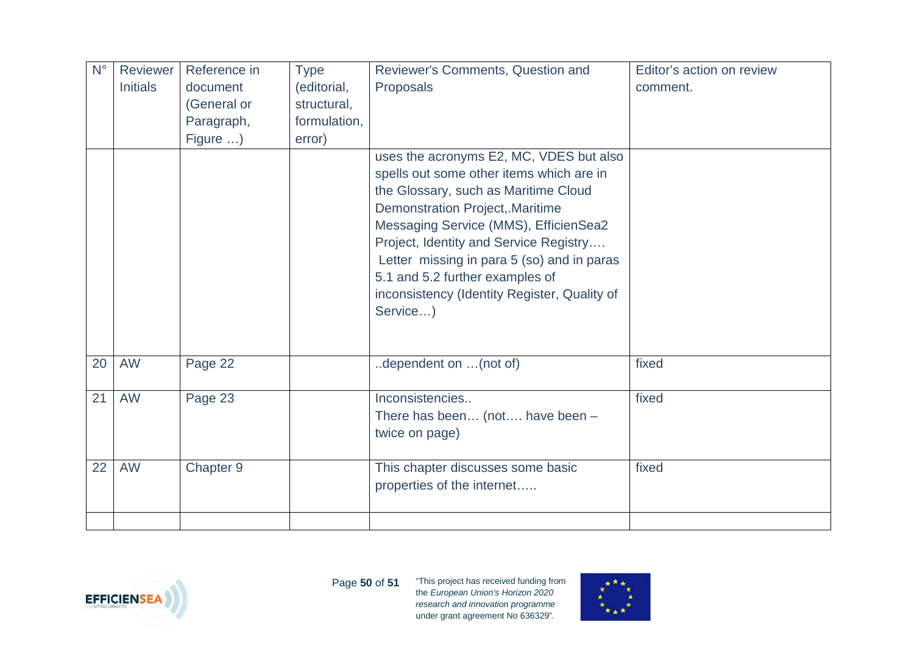| $N^{\circ}$ | Reviewer        | Reference in | <b>Type</b>  | Reviewer's Comments, Question and            | Editor's action on review |
|-------------|-----------------|--------------|--------------|----------------------------------------------|---------------------------|
|             | <b>Initials</b> | document     | (editorial,  | Proposals                                    | comment.                  |
|             |                 | (General or  | structural,  |                                              |                           |
|             |                 | Paragraph,   | formulation, |                                              |                           |
|             |                 | Figure )     | error)       |                                              |                           |
|             |                 |              |              | uses the acronyms E2, MC, VDES but also      |                           |
|             |                 |              |              | spells out some other items which are in     |                           |
|             |                 |              |              | the Glossary, such as Maritime Cloud         |                           |
|             |                 |              |              | <b>Demonstration Project, Maritime</b>       |                           |
|             |                 |              |              | Messaging Service (MMS), EfficienSea2        |                           |
|             |                 |              |              | Project, Identity and Service Registry       |                           |
|             |                 |              |              | Letter missing in para 5 (so) and in paras   |                           |
|             |                 |              |              | 5.1 and 5.2 further examples of              |                           |
|             |                 |              |              | inconsistency (Identity Register, Quality of |                           |
|             |                 |              |              | Service)                                     |                           |
|             |                 |              |              |                                              |                           |
|             |                 |              |              |                                              |                           |
| 20          | <b>AW</b>       | Page 22      |              | dependent on (not of)                        | fixed                     |
|             |                 |              |              |                                              |                           |
| 21          | <b>AW</b>       | Page 23      |              | Inconsistencies                              | fixed                     |
|             |                 |              |              | There has been (not have been -              |                           |
|             |                 |              |              | twice on page)                               |                           |
|             |                 |              |              |                                              |                           |
| 22          | <b>AW</b>       | Chapter 9    |              | This chapter discusses some basic            | fixed                     |
|             |                 |              |              | properties of the internet                   |                           |
|             |                 |              |              |                                              |                           |
|             |                 |              |              |                                              |                           |